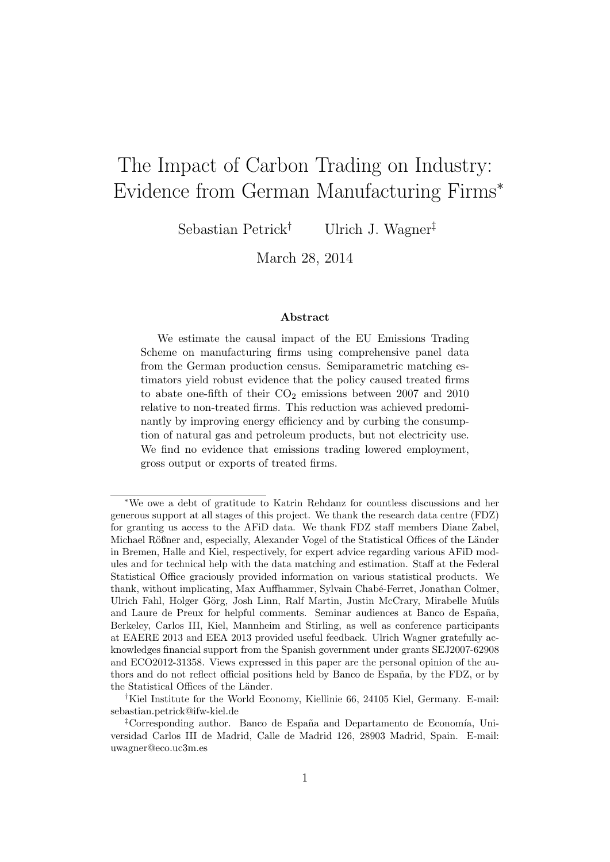# The Impact of Carbon Trading on Industry: Evidence from German Manufacturing Firms<sup>∗</sup>

Sebastian Petrick† Ulrich J. Wagner‡

March 28, 2014

#### Abstract

We estimate the causal impact of the EU Emissions Trading Scheme on manufacturing firms using comprehensive panel data from the German production census. Semiparametric matching estimators yield robust evidence that the policy caused treated firms to abate one-fifth of their  $CO<sub>2</sub>$  emissions between 2007 and 2010 relative to non-treated firms. This reduction was achieved predominantly by improving energy efficiency and by curbing the consumption of natural gas and petroleum products, but not electricity use. We find no evidence that emissions trading lowered employment, gross output or exports of treated firms.

<sup>∗</sup>We owe a debt of gratitude to Katrin Rehdanz for countless discussions and her generous support at all stages of this project. We thank the research data centre (FDZ) for granting us access to the AFiD data. We thank FDZ staff members Diane Zabel, Michael Rößner and, especially, Alexander Vogel of the Statistical Offices of the Länder in Bremen, Halle and Kiel, respectively, for expert advice regarding various AFiD modules and for technical help with the data matching and estimation. Staff at the Federal Statistical Office graciously provided information on various statistical products. We thank, without implicating, Max Auffhammer, Sylvain Chabé-Ferret, Jonathan Colmer, Ulrich Fahl, Holger Görg, Josh Linn, Ralf Martin, Justin McCrary, Mirabelle Muûls and Laure de Preux for helpful comments. Seminar audiences at Banco de España, Berkeley, Carlos III, Kiel, Mannheim and Stirling, as well as conference participants at EAERE 2013 and EEA 2013 provided useful feedback. Ulrich Wagner gratefully acknowledges financial support from the Spanish government under grants SEJ2007-62908 and ECO2012-31358. Views expressed in this paper are the personal opinion of the authors and do not reflect official positions held by Banco de España, by the FDZ, or by the Statistical Offices of the Länder.

<sup>†</sup>Kiel Institute for the World Economy, Kiellinie 66, 24105 Kiel, Germany. E-mail: sebastian.petrick@ifw-kiel.de

<sup>&</sup>lt;sup>‡</sup>Corresponding author. Banco de España and Departamento de Economía, Universidad Carlos III de Madrid, Calle de Madrid 126, 28903 Madrid, Spain. E-mail: uwagner@eco.uc3m.es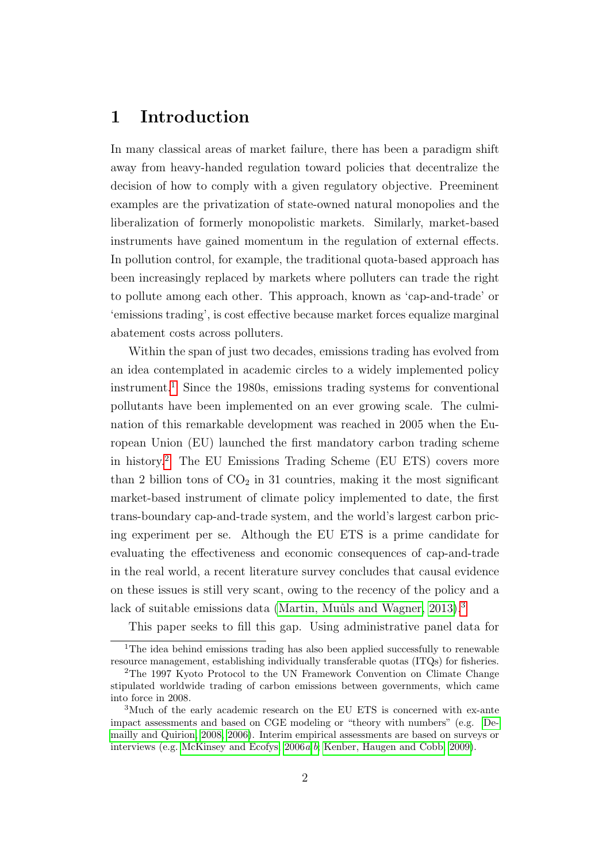## 1 Introduction

In many classical areas of market failure, there has been a paradigm shift away from heavy-handed regulation toward policies that decentralize the decision of how to comply with a given regulatory objective. Preeminent examples are the privatization of state-owned natural monopolies and the liberalization of formerly monopolistic markets. Similarly, market-based instruments have gained momentum in the regulation of external effects. In pollution control, for example, the traditional quota-based approach has been increasingly replaced by markets where polluters can trade the right to pollute among each other. This approach, known as 'cap-and-trade' or 'emissions trading', is cost effective because market forces equalize marginal abatement costs across polluters.

Within the span of just two decades, emissions trading has evolved from an idea contemplated in academic circles to a widely implemented policy  $instrument<sup>1</sup>$  $instrument<sup>1</sup>$  $instrument<sup>1</sup>$ . Since the 1980s, emissions trading systems for conventional pollutants have been implemented on an ever growing scale. The culmination of this remarkable development was reached in 2005 when the European Union (EU) launched the first mandatory carbon trading scheme in history.[2](#page-1-1) The EU Emissions Trading Scheme (EU ETS) covers more than 2 billion tons of  $CO<sub>2</sub>$  in 31 countries, making it the most significant market-based instrument of climate policy implemented to date, the first trans-boundary cap-and-trade system, and the world's largest carbon pricing experiment per se. Although the EU ETS is a prime candidate for evaluating the effectiveness and economic consequences of cap-and-trade in the real world, a recent literature survey concludes that causal evidence on these issues is still very scant, owing to the recency of the policy and a lack of suitable emissions data (Martin, Muûls and Wagner,  $2013$  $2013$ ).<sup>3</sup>

<span id="page-1-0"></span>This paper seeks to fill this gap. Using administrative panel data for

<sup>&</sup>lt;sup>1</sup>The idea behind emissions trading has also been applied successfully to renewable resource management, establishing individually transferable quotas (ITQs) for fisheries.

<span id="page-1-1"></span><sup>2</sup>The 1997 Kyoto Protocol to the UN Framework Convention on Climate Change stipulated worldwide trading of carbon emissions between governments, which came into force in 2008.

<span id="page-1-2"></span><sup>&</sup>lt;sup>3</sup>Much of the early academic research on the EU ETS is concerned with ex-ante impact assessments and based on CGE modeling or "theory with numbers" (e.g. [De](#page-35-0)[mailly and Quirion, 2008,](#page-35-0) [2006\)](#page-35-1). Interim empirical assessments are based on surveys or interviews (e.g. [McKinsey and Ecofys, 2006](#page-37-1)a,[b](#page-37-2); [Kenber, Haugen and Cobb, 2009\)](#page-37-3).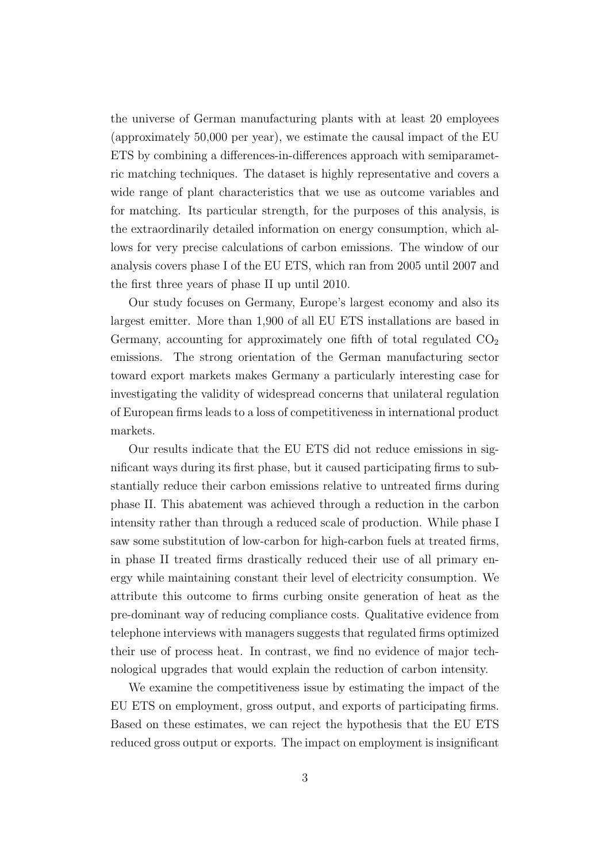the universe of German manufacturing plants with at least 20 employees (approximately 50,000 per year), we estimate the causal impact of the EU ETS by combining a differences-in-differences approach with semiparametric matching techniques. The dataset is highly representative and covers a wide range of plant characteristics that we use as outcome variables and for matching. Its particular strength, for the purposes of this analysis, is the extraordinarily detailed information on energy consumption, which allows for very precise calculations of carbon emissions. The window of our analysis covers phase I of the EU ETS, which ran from 2005 until 2007 and the first three years of phase II up until 2010.

Our study focuses on Germany, Europe's largest economy and also its largest emitter. More than 1,900 of all EU ETS installations are based in Germany, accounting for approximately one fifth of total regulated  $CO<sub>2</sub>$ emissions. The strong orientation of the German manufacturing sector toward export markets makes Germany a particularly interesting case for investigating the validity of widespread concerns that unilateral regulation of European firms leads to a loss of competitiveness in international product markets.

Our results indicate that the EU ETS did not reduce emissions in significant ways during its first phase, but it caused participating firms to substantially reduce their carbon emissions relative to untreated firms during phase II. This abatement was achieved through a reduction in the carbon intensity rather than through a reduced scale of production. While phase I saw some substitution of low-carbon for high-carbon fuels at treated firms, in phase II treated firms drastically reduced their use of all primary energy while maintaining constant their level of electricity consumption. We attribute this outcome to firms curbing onsite generation of heat as the pre-dominant way of reducing compliance costs. Qualitative evidence from telephone interviews with managers suggests that regulated firms optimized their use of process heat. In contrast, we find no evidence of major technological upgrades that would explain the reduction of carbon intensity.

We examine the competitiveness issue by estimating the impact of the EU ETS on employment, gross output, and exports of participating firms. Based on these estimates, we can reject the hypothesis that the EU ETS reduced gross output or exports. The impact on employment is insignificant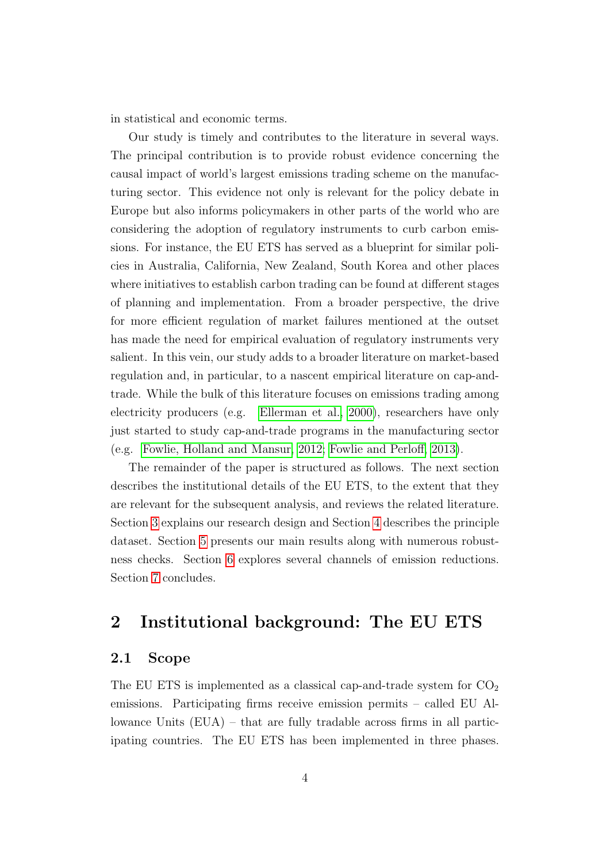in statistical and economic terms.

Our study is timely and contributes to the literature in several ways. The principal contribution is to provide robust evidence concerning the causal impact of world's largest emissions trading scheme on the manufacturing sector. This evidence not only is relevant for the policy debate in Europe but also informs policymakers in other parts of the world who are considering the adoption of regulatory instruments to curb carbon emissions. For instance, the EU ETS has served as a blueprint for similar policies in Australia, California, New Zealand, South Korea and other places where initiatives to establish carbon trading can be found at different stages of planning and implementation. From a broader perspective, the drive for more efficient regulation of market failures mentioned at the outset has made the need for empirical evaluation of regulatory instruments very salient. In this vein, our study adds to a broader literature on market-based regulation and, in particular, to a nascent empirical literature on cap-andtrade. While the bulk of this literature focuses on emissions trading among electricity producers (e.g. [Ellerman et al., 2000\)](#page-36-0), researchers have only just started to study cap-and-trade programs in the manufacturing sector (e.g. [Fowlie, Holland and Mansur, 2012;](#page-36-1) [Fowlie and Perloff, 2013\)](#page-36-2).

The remainder of the paper is structured as follows. The next section describes the institutional details of the EU ETS, to the extent that they are relevant for the subsequent analysis, and reviews the related literature. Section [3](#page-6-0) explains our research design and Section [4](#page-10-0) describes the principle dataset. Section [5](#page-15-0) presents our main results along with numerous robustness checks. Section [6](#page-26-0) explores several channels of emission reductions. Section [7](#page-33-0) concludes.

## <span id="page-3-0"></span>2 Institutional background: The EU ETS

### 2.1 Scope

The EU ETS is implemented as a classical cap-and-trade system for  $CO<sub>2</sub>$ emissions. Participating firms receive emission permits – called EU Allowance Units (EUA) – that are fully tradable across firms in all participating countries. The EU ETS has been implemented in three phases.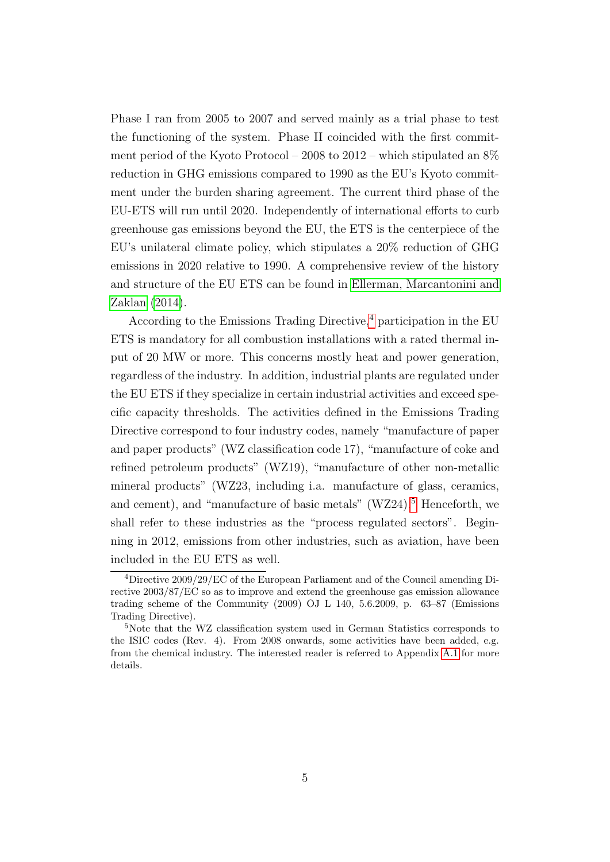Phase I ran from 2005 to 2007 and served mainly as a trial phase to test the functioning of the system. Phase II coincided with the first commitment period of the Kyoto Protocol – 2008 to 2012 – which stipulated an 8% reduction in GHG emissions compared to 1990 as the EU's Kyoto commitment under the burden sharing agreement. The current third phase of the EU-ETS will run until 2020. Independently of international efforts to curb greenhouse gas emissions beyond the EU, the ETS is the centerpiece of the EU's unilateral climate policy, which stipulates a 20% reduction of GHG emissions in 2020 relative to 1990. A comprehensive review of the history and structure of the EU ETS can be found in [Ellerman, Marcantonini and](#page-36-3) [Zaklan](#page-36-3) [\(2014\)](#page-36-3).

According to the Emissions Trading Directive,<sup>[4](#page-4-0)</sup> participation in the EU ETS is mandatory for all combustion installations with a rated thermal input of 20 MW or more. This concerns mostly heat and power generation, regardless of the industry. In addition, industrial plants are regulated under the EU ETS if they specialize in certain industrial activities and exceed specific capacity thresholds. The activities defined in the Emissions Trading Directive correspond to four industry codes, namely "manufacture of paper and paper products" (WZ classification code 17), "manufacture of coke and refined petroleum products" (WZ19), "manufacture of other non-metallic mineral products" (WZ23, including i.a. manufacture of glass, ceramics, and cement), and "manufacture of basic metals"  $(WZ24)$ <sup>[5](#page-4-1)</sup> Henceforth, we shall refer to these industries as the "process regulated sectors". Beginning in 2012, emissions from other industries, such as aviation, have been included in the EU ETS as well.

<span id="page-4-0"></span><sup>4</sup>Directive 2009/29/EC of the European Parliament and of the Council amending Directive 2003/87/EC so as to improve and extend the greenhouse gas emission allowance trading scheme of the Community (2009) OJ L 140, 5.6.2009, p. 63–87 (Emissions Trading Directive).

<span id="page-4-1"></span><sup>5</sup>Note that the WZ classification system used in German Statistics corresponds to the ISIC codes (Rev. 4). From 2008 onwards, some activities have been added, e.g. from the chemical industry. The interested reader is referred to Appendix [A.1](#page-39-0) for more details.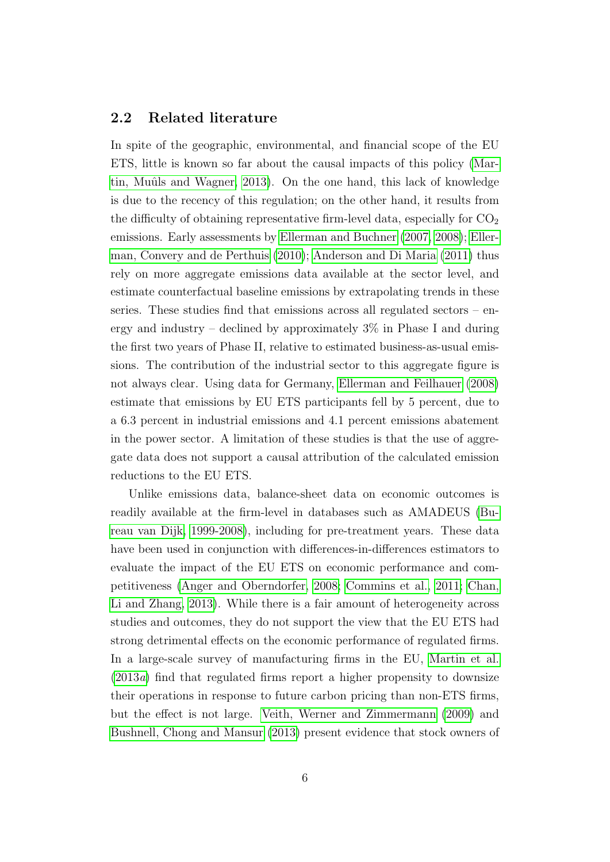#### 2.2 Related literature

In spite of the geographic, environmental, and financial scope of the EU ETS, little is known so far about the causal impacts of this policy [\(Mar](#page-37-0)tin, Muûls and Wagner, 2013). On the one hand, this lack of knowledge is due to the recency of this regulation; on the other hand, it results from the difficulty of obtaining representative firm-level data, especially for  $CO<sub>2</sub>$ emissions. Early assessments by [Ellerman and Buchner](#page-35-2) [\(2007,](#page-35-2) [2008\)](#page-35-3); [Eller](#page-36-4)[man, Convery and de Perthuis](#page-36-4) [\(2010\)](#page-36-4); [Anderson and Di Maria](#page-34-0) [\(2011\)](#page-34-0) thus rely on more aggregate emissions data available at the sector level, and estimate counterfactual baseline emissions by extrapolating trends in these series. These studies find that emissions across all regulated sectors – energy and industry – declined by approximately  $3\%$  in Phase I and during the first two years of Phase II, relative to estimated business-as-usual emissions. The contribution of the industrial sector to this aggregate figure is not always clear. Using data for Germany, [Ellerman and Feilhauer](#page-35-4) [\(2008\)](#page-35-4) estimate that emissions by EU ETS participants fell by 5 percent, due to a 6.3 percent in industrial emissions and 4.1 percent emissions abatement in the power sector. A limitation of these studies is that the use of aggregate data does not support a causal attribution of the calculated emission reductions to the EU ETS.

Unlike emissions data, balance-sheet data on economic outcomes is readily available at the firm-level in databases such as AMADEUS [\(Bu](#page-34-1)[reau van Dijk, 1999-2008\)](#page-34-1), including for pre-treatment years. These data have been used in conjunction with differences-in-differences estimators to evaluate the impact of the EU ETS on economic performance and competitiveness [\(Anger and Oberndorfer, 2008;](#page-34-2) [Commins et al., 2011;](#page-35-5) [Chan,](#page-35-6) [Li and Zhang, 2013\)](#page-35-6). While there is a fair amount of heterogeneity across studies and outcomes, they do not support the view that the EU ETS had strong detrimental effects on the economic performance of regulated firms. In a large-scale survey of manufacturing firms in the EU, [Martin et al.](#page-37-4) [\(2013](#page-37-4)a) find that regulated firms report a higher propensity to downsize their operations in response to future carbon pricing than non-ETS firms, but the effect is not large. [Veith, Werner and Zimmermann](#page-38-0) [\(2009\)](#page-38-0) and [Bushnell, Chong and Mansur](#page-35-7) [\(2013\)](#page-35-7) present evidence that stock owners of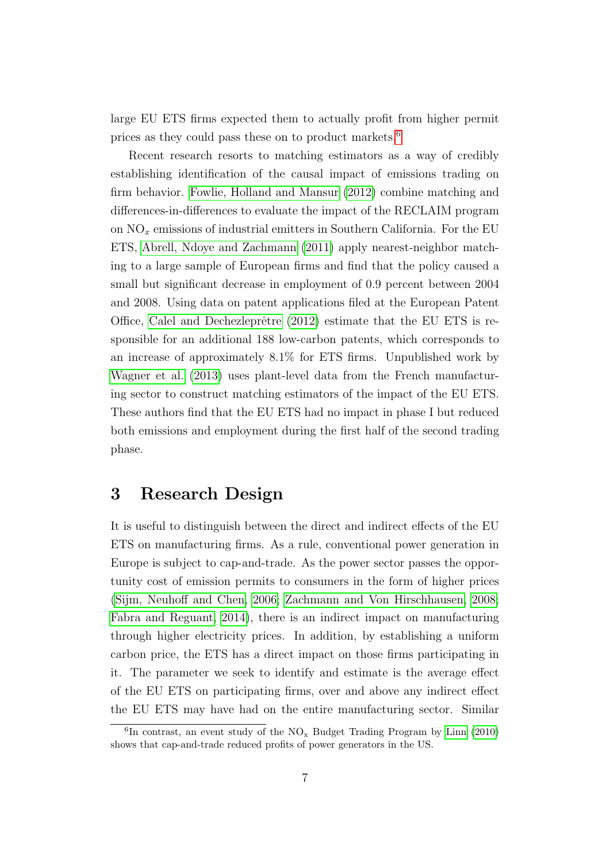large EU ETS firms expected them to actually profit from higher permit prices as they could pass these on to product markets.[6](#page-6-1)

Recent research resorts to matching estimators as a way of credibly establishing identification of the causal impact of emissions trading on firm behavior. [Fowlie, Holland and Mansur](#page-36-1) [\(2012\)](#page-36-1) combine matching and differences-in-differences to evaluate the impact of the RECLAIM program on  $NO<sub>x</sub>$  emissions of industrial emitters in Southern California. For the EU ETS, [Abrell, Ndoye and Zachmann](#page-34-3) [\(2011\)](#page-34-3) apply nearest-neighbor matching to a large sample of European firms and find that the policy caused a small but significant decrease in employment of 0.9 percent between 2004 and 2008. Using data on patent applications filed at the European Patent Office, Calel and Dechezleprêtre  $(2012)$  estimate that the EU ETS is responsible for an additional 188 low-carbon patents, which corresponds to an increase of approximately 8.1% for ETS firms. Unpublished work by [Wagner et al.](#page-38-1) [\(2013\)](#page-38-1) uses plant-level data from the French manufacturing sector to construct matching estimators of the impact of the EU ETS. These authors find that the EU ETS had no impact in phase I but reduced both emissions and employment during the first half of the second trading phase.

### <span id="page-6-0"></span>3 Research Design

It is useful to distinguish between the direct and indirect effects of the EU ETS on manufacturing firms. As a rule, conventional power generation in Europe is subject to cap-and-trade. As the power sector passes the opportunity cost of emission permits to consumers in the form of higher prices [\(Sijm, Neuhoff and Chen, 2006;](#page-38-2) [Zachmann and Von Hirschhausen, 2008;](#page-38-3) [Fabra and Reguant, 2014\)](#page-36-5), there is an indirect impact on manufacturing through higher electricity prices. In addition, by establishing a uniform carbon price, the ETS has a direct impact on those firms participating in it. The parameter we seek to identify and estimate is the average effect of the EU ETS on participating firms, over and above any indirect effect the EU ETS may have had on the entire manufacturing sector. Similar

<span id="page-6-1"></span> ${}^{6}$ In contrast, an event study of the NO<sub>x</sub> Budget Trading Program by [Linn](#page-37-5) [\(2010\)](#page-37-5) shows that cap-and-trade reduced profits of power generators in the US.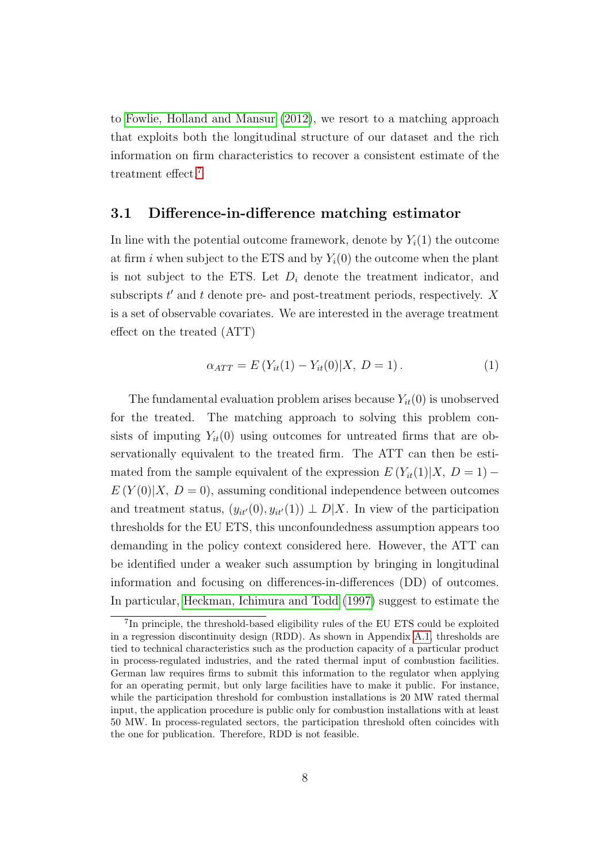to [Fowlie, Holland and Mansur](#page-36-1) [\(2012\)](#page-36-1), we resort to a matching approach that exploits both the longitudinal structure of our dataset and the rich information on firm characteristics to recover a consistent estimate of the treatment effect.<sup>[7](#page-7-0)</sup>

#### 3.1 Difference-in-difference matching estimator

In line with the potential outcome framework, denote by  $Y_i(1)$  the outcome at firm i when subject to the ETS and by  $Y_i(0)$  the outcome when the plant is not subject to the ETS. Let  $D_i$  denote the treatment indicator, and subscripts  $t'$  and  $t$  denote pre- and post-treatment periods, respectively.  $X$ is a set of observable covariates. We are interested in the average treatment effect on the treated (ATT)

$$
\alpha_{ATT} = E(Y_{it}(1) - Y_{it}(0)|X, D = 1).
$$
 (1)

The fundamental evaluation problem arises because  $Y_{it}(0)$  is unobserved for the treated. The matching approach to solving this problem consists of imputing  $Y_{it}(0)$  using outcomes for untreated firms that are observationally equivalent to the treated firm. The ATT can then be estimated from the sample equivalent of the expression  $E(Y_{it}(1)|X, D=1)$  –  $E(Y(0)|X, D=0)$ , assuming conditional independence between outcomes and treatment status,  $(y_{it}(0), y_{it}(1)) \perp D[X]$ . In view of the participation thresholds for the EU ETS, this unconfoundedness assumption appears too demanding in the policy context considered here. However, the ATT can be identified under a weaker such assumption by bringing in longitudinal information and focusing on differences-in-differences (DD) of outcomes. In particular, [Heckman, Ichimura and Todd](#page-36-6) [\(1997\)](#page-36-6) suggest to estimate the

<span id="page-7-0"></span><sup>&</sup>lt;sup>7</sup>In principle, the threshold-based eligibility rules of the EU ETS could be exploited in a regression discontinuity design (RDD). As shown in Appendix [A.1,](#page-39-0) thresholds are tied to technical characteristics such as the production capacity of a particular product in process-regulated industries, and the rated thermal input of combustion facilities. German law requires firms to submit this information to the regulator when applying for an operating permit, but only large facilities have to make it public. For instance, while the participation threshold for combustion installations is 20 MW rated thermal input, the application procedure is public only for combustion installations with at least 50 MW. In process-regulated sectors, the participation threshold often coincides with the one for publication. Therefore, RDD is not feasible.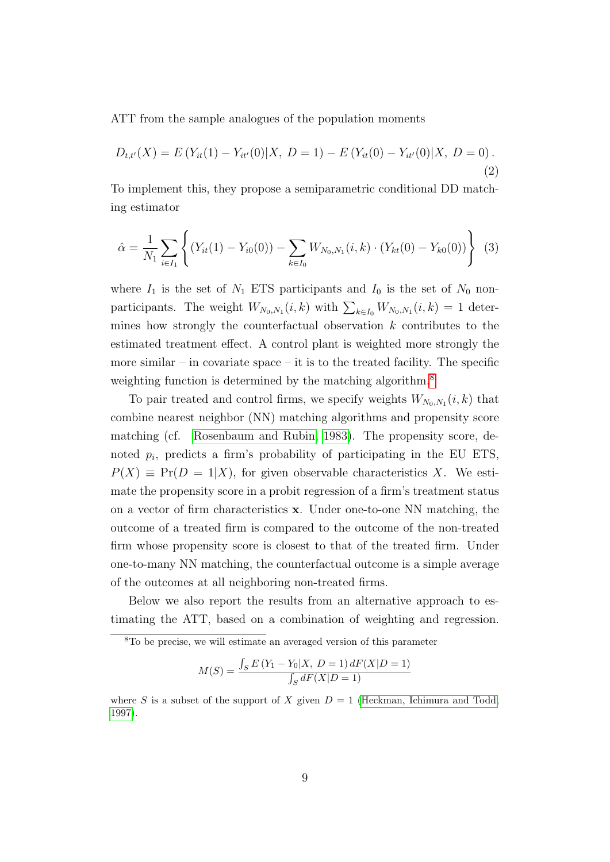ATT from the sample analogues of the population moments

$$
D_{t,t'}(X) = E(Y_{it}(1) - Y_{it'}(0)|X, D = 1) - E(Y_{it}(0) - Y_{it'}(0)|X, D = 0).
$$
\n(2)

To implement this, they propose a semiparametric conditional DD matching estimator

<span id="page-8-1"></span>
$$
\hat{\alpha} = \frac{1}{N_1} \sum_{i \in I_1} \left\{ (Y_{it}(1) - Y_{i0}(0)) - \sum_{k \in I_0} W_{N_0, N_1}(i, k) \cdot (Y_{kt}(0) - Y_{k0}(0)) \right\} (3)
$$

where  $I_1$  is the set of  $N_1$  ETS participants and  $I_0$  is the set of  $N_0$  nonparticipants. The weight  $W_{N_0,N_1}(i,k)$  with  $\sum_{k\in I_0} W_{N_0,N_1}(i,k) = 1$  determines how strongly the counterfactual observation  $k$  contributes to the estimated treatment effect. A control plant is weighted more strongly the more similar – in covariate space – it is to the treated facility. The specific weighting function is determined by the matching algorithm.<sup>[8](#page-8-0)</sup>

To pair treated and control firms, we specify weights  $W_{N_0,N_1}(i,k)$  that combine nearest neighbor (NN) matching algorithms and propensity score matching (cf. [Rosenbaum and Rubin, 1983\)](#page-38-4). The propensity score, denoted  $p_i$ , predicts a firm's probability of participating in the EU ETS,  $P(X) \equiv Pr(D = 1|X)$ , for given observable characteristics X. We estimate the propensity score in a probit regression of a firm's treatment status on a vector of firm characteristics x. Under one-to-one NN matching, the outcome of a treated firm is compared to the outcome of the non-treated firm whose propensity score is closest to that of the treated firm. Under one-to-many NN matching, the counterfactual outcome is a simple average of the outcomes at all neighboring non-treated firms.

Below we also report the results from an alternative approach to estimating the ATT, based on a combination of weighting and regression.

$$
M(S) = \frac{\int_S E(Y_1 - Y_0|X, D = 1) dF(X|D = 1)}{\int_S dF(X|D = 1)}
$$

<span id="page-8-0"></span><sup>8</sup>To be precise, we will estimate an averaged version of this parameter

where S is a subset of the support of X given  $D = 1$  [\(Heckman, Ichimura and Todd,](#page-36-6) [1997\)](#page-36-6).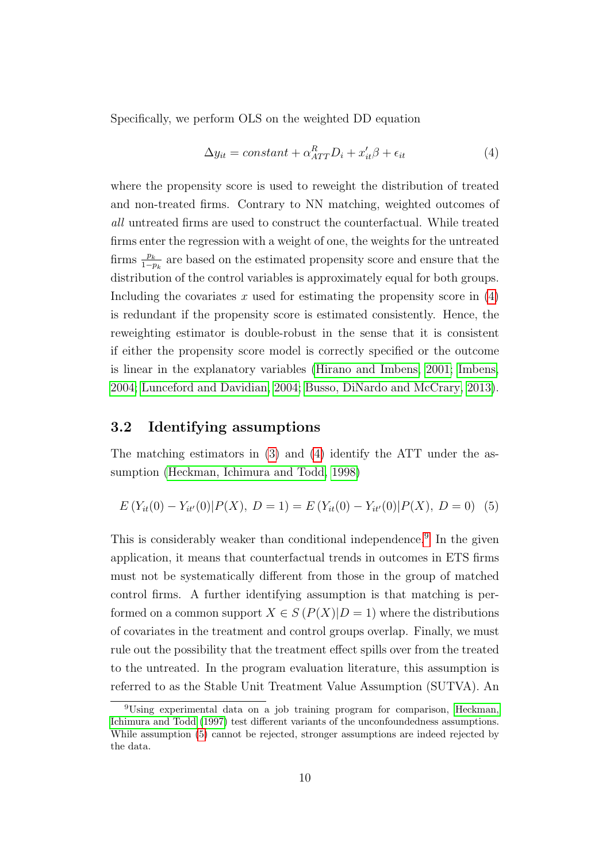Specifically, we perform OLS on the weighted DD equation

<span id="page-9-0"></span>
$$
\Delta y_{it} = constant + \alpha_{ATT}^{R} D_i + x_{it}' \beta + \epsilon_{it}
$$
\n(4)

where the propensity score is used to reweight the distribution of treated and non-treated firms. Contrary to NN matching, weighted outcomes of all untreated firms are used to construct the counterfactual. While treated firms enter the regression with a weight of one, the weights for the untreated firms  $\frac{p_k}{1-p_k}$  are based on the estimated propensity score and ensure that the distribution of the control variables is approximately equal for both groups. Including the covariates  $x$  used for estimating the propensity score in  $(4)$ is redundant if the propensity score is estimated consistently. Hence, the reweighting estimator is double-robust in the sense that it is consistent if either the propensity score model is correctly specified or the outcome is linear in the explanatory variables [\(Hirano and Imbens, 2001;](#page-37-6) [Imbens,](#page-37-7) [2004;](#page-37-7) [Lunceford and Davidian, 2004;](#page-37-8) [Busso, DiNardo and McCrary, 2013\)](#page-35-9).

### 3.2 Identifying assumptions

The matching estimators in [\(3\)](#page-8-1) and [\(4\)](#page-9-0) identify the ATT under the assumption [\(Heckman, Ichimura and Todd, 1998\)](#page-36-7)

<span id="page-9-2"></span>
$$
E(Y_{it}(0) - Y_{it'}(0) | P(X), D = 1) = E(Y_{it}(0) - Y_{it'}(0) | P(X), D = 0)
$$
 (5)

This is considerably weaker than conditional independence.<sup>[9](#page-9-1)</sup> In the given application, it means that counterfactual trends in outcomes in ETS firms must not be systematically different from those in the group of matched control firms. A further identifying assumption is that matching is performed on a common support  $X \in S(P(X)|D=1)$  where the distributions of covariates in the treatment and control groups overlap. Finally, we must rule out the possibility that the treatment effect spills over from the treated to the untreated. In the program evaluation literature, this assumption is referred to as the Stable Unit Treatment Value Assumption (SUTVA). An

<span id="page-9-1"></span><sup>9</sup>Using experimental data on a job training program for comparison, [Heckman,](#page-36-6) [Ichimura and Todd](#page-36-6) [\(1997\)](#page-36-6) test different variants of the unconfoundedness assumptions. While assumption [\(5\)](#page-9-2) cannot be rejected, stronger assumptions are indeed rejected by the data.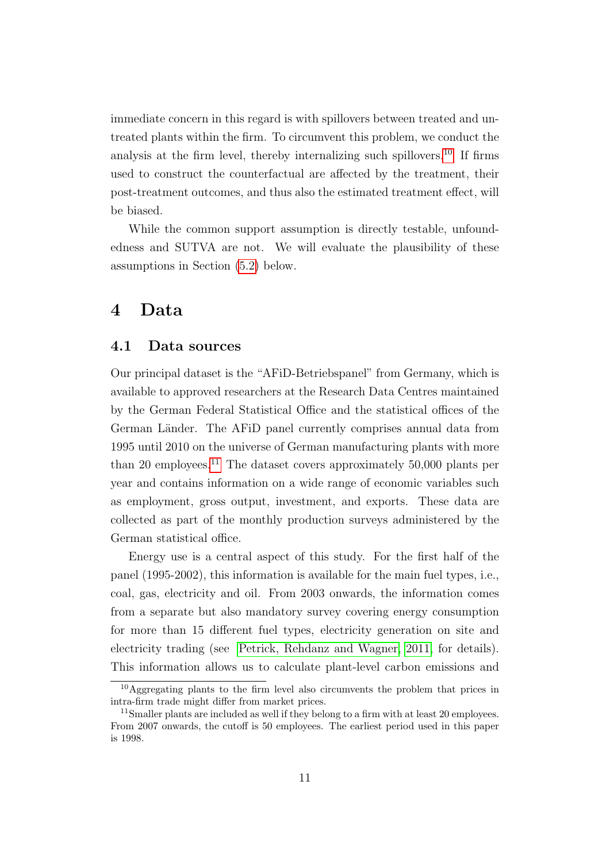immediate concern in this regard is with spillovers between treated and untreated plants within the firm. To circumvent this problem, we conduct the analysis at the firm level, thereby internalizing such spillovers.<sup>[10](#page-10-1)</sup> If firms used to construct the counterfactual are affected by the treatment, their post-treatment outcomes, and thus also the estimated treatment effect, will be biased.

While the common support assumption is directly testable, unfoundedness and SUTVA are not. We will evaluate the plausibility of these assumptions in Section [\(5.2\)](#page-18-0) below.

## <span id="page-10-0"></span>4 Data

### 4.1 Data sources

Our principal dataset is the "AFiD-Betriebspanel" from Germany, which is available to approved researchers at the Research Data Centres maintained by the German Federal Statistical Office and the statistical offices of the German Länder. The AFID panel currently comprises annual data from 1995 until 2010 on the universe of German manufacturing plants with more than 20 employees.<sup>[11](#page-10-2)</sup> The dataset covers approximately  $50,000$  plants per year and contains information on a wide range of economic variables such as employment, gross output, investment, and exports. These data are collected as part of the monthly production surveys administered by the German statistical office.

Energy use is a central aspect of this study. For the first half of the panel (1995-2002), this information is available for the main fuel types, i.e., coal, gas, electricity and oil. From 2003 onwards, the information comes from a separate but also mandatory survey covering energy consumption for more than 15 different fuel types, electricity generation on site and electricity trading (see [Petrick, Rehdanz and Wagner, 2011,](#page-37-9) for details). This information allows us to calculate plant-level carbon emissions and

<span id="page-10-1"></span><sup>10</sup>Aggregating plants to the firm level also circumvents the problem that prices in intra-firm trade might differ from market prices.

<span id="page-10-2"></span><sup>&</sup>lt;sup>11</sup>Smaller plants are included as well if they belong to a firm with at least 20 employees. From 2007 onwards, the cutoff is 50 employees. The earliest period used in this paper is 1998.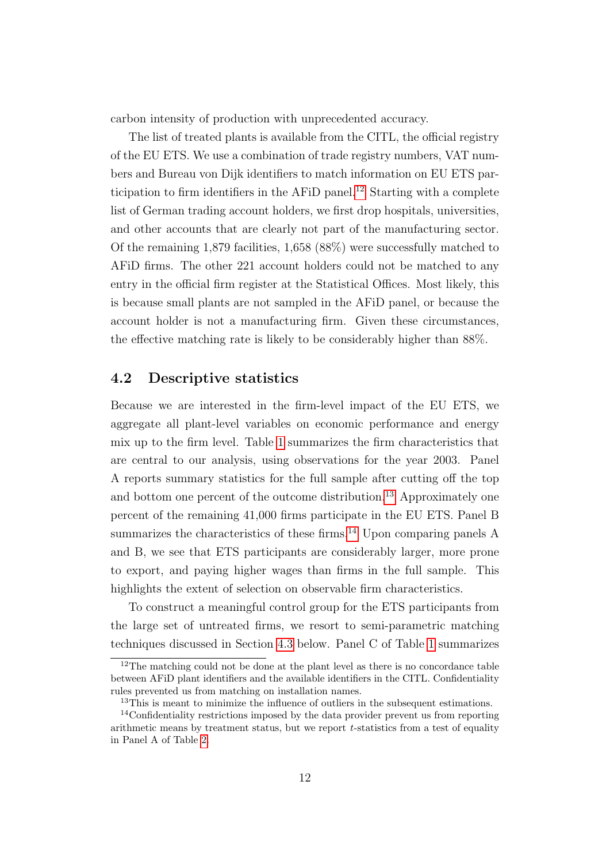carbon intensity of production with unprecedented accuracy.

The list of treated plants is available from the CITL, the official registry of the EU ETS. We use a combination of trade registry numbers, VAT numbers and Bureau von Dijk identifiers to match information on EU ETS par-ticipation to firm identifiers in the AFiD panel.<sup>[12](#page-11-0)</sup> Starting with a complete list of German trading account holders, we first drop hospitals, universities, and other accounts that are clearly not part of the manufacturing sector. Of the remaining 1,879 facilities, 1,658 (88%) were successfully matched to AFiD firms. The other 221 account holders could not be matched to any entry in the official firm register at the Statistical Offices. Most likely, this is because small plants are not sampled in the AFiD panel, or because the account holder is not a manufacturing firm. Given these circumstances, the effective matching rate is likely to be considerably higher than 88%.

### 4.2 Descriptive statistics

Because we are interested in the firm-level impact of the EU ETS, we aggregate all plant-level variables on economic performance and energy mix up to the firm level. Table [1](#page-12-0) summarizes the firm characteristics that are central to our analysis, using observations for the year 2003. Panel A reports summary statistics for the full sample after cutting off the top and bottom one percent of the outcome distribution.<sup>[13](#page-11-1)</sup> Approximately one percent of the remaining 41,000 firms participate in the EU ETS. Panel B summarizes the characteristics of these firms.<sup>[14](#page-11-2)</sup> Upon comparing panels  $A$ and B, we see that ETS participants are considerably larger, more prone to export, and paying higher wages than firms in the full sample. This highlights the extent of selection on observable firm characteristics.

To construct a meaningful control group for the ETS participants from the large set of untreated firms, we resort to semi-parametric matching techniques discussed in Section [4.3](#page-14-0) below. Panel C of Table [1](#page-12-0) summarizes

<span id="page-11-0"></span><sup>&</sup>lt;sup>12</sup>The matching could not be done at the plant level as there is no concordance table between AFiD plant identifiers and the available identifiers in the CITL. Confidentiality rules prevented us from matching on installation names.

<span id="page-11-2"></span><span id="page-11-1"></span><sup>&</sup>lt;sup>13</sup>This is meant to minimize the influence of outliers in the subsequent estimations.

<sup>14</sup>Confidentiality restrictions imposed by the data provider prevent us from reporting arithmetic means by treatment status, but we report t-statistics from a test of equality in Panel A of Table [2.](#page-13-0)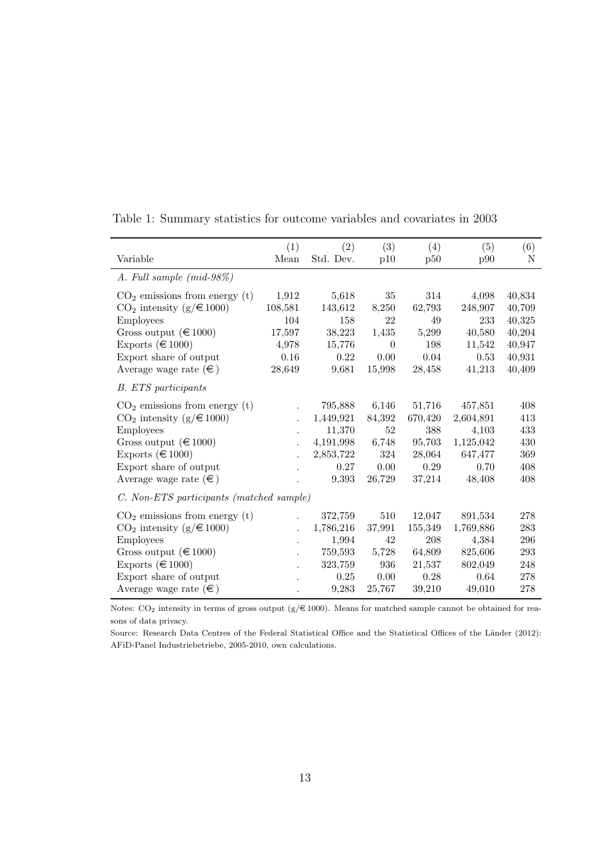| Variable                                 | (1)<br>Mean | (2)<br>Std. Dev. | (3)<br>p10 | (4)<br>p50 | (5)<br>p90 | (6)<br>N |
|------------------------------------------|-------------|------------------|------------|------------|------------|----------|
|                                          |             |                  |            |            |            |          |
| A. Full sample (mid-98%)                 |             |                  |            |            |            |          |
| $CO2$ emissions from energy (t)          | 1,912       | 5,618            | 35         | 314        | 4,098      | 40,834   |
| $CO2$ intensity (g/ $\in$ 1000)          | 108,581     | 143,612          | 8,250      | 62,793     | 248,907    | 40,709   |
| <b>Employees</b>                         | 104         | 158              | 22         | 49         | 233        | 40,325   |
| Gross output ( $\in$ 1000)               | 17,597      | 38,223           | 1,435      | 5,299      | 40,580     | 40,204   |
| Exports ( $\in$ 1000)                    | 4,978       | 15,776           | $\Omega$   | 198        | 11,542     | 40,947   |
| Export share of output                   | 0.16        | 0.22             | 0.00       | 0.04       | 0.53       | 40,931   |
| Average wage rate $(\epsilon)$           | 28,649      | 9,681            | 15,998     | 28,458     | 41,213     | 40,409   |
| <b>B.</b> ETS participants               |             |                  |            |            |            |          |
| $CO2$ emissions from energy (t)          |             | 795,888          | 6,146      | 51,716     | 457,851    | 408      |
| $CO2$ intensity (g/ $\in$ 1000)          |             | 1,449,921        | 84,392     | 670,420    | 2,604,891  | 413      |
| Employees                                |             | 11,370           | 52         | 388        | 4,103      | 433      |
| Gross output ( $\in$ 1000)               |             | 4,191,998        | 6,748      | 95,703     | 1,125,042  | 430      |
| Exports ( $\in$ 1000)                    |             | 2,853,722        | 324        | 28,064     | 647,477    | 369      |
| Export share of output                   |             | 0.27             | 0.00       | 0.29       | 0.70       | 408      |
| Average wage rate $(\epsilon)$           |             | 9,393            | 26,729     | 37,214     | 48,408     | 408      |
| C. Non-ETS participants (matched sample) |             |                  |            |            |            |          |
| $CO2$ emissions from energy (t)          |             | 372,759          | 510        | 12,047     | 891,534    | 278      |
| $CO2$ intensity (g/ $\in$ 1000)          |             | 1,786,216        | 37,991     | 155,349    | 1,769,886  | 283      |
| <b>Employees</b>                         |             | 1,994            | 42         | 208        | 4,384      | 296      |
| Gross output ( $\in$ 1000)               |             | 759,593          | 5,728      | 64,809     | 825,606    | 293      |
| Exports ( $\in$ 1000)                    |             | 323,759          | 936        | 21,537     | 802,049    | 248      |
| Export share of output                   |             | $0.25\,$         | 0.00       | 0.28       | 0.64       | 278      |
| Average wage rate $(\epsilon)$           |             | 9,283            | 25,767     | 39,210     | 49,010     | 278      |

<span id="page-12-0"></span>Table 1: Summary statistics for outcome variables and covariates in 2003

Notes:  $CO_2$  intensity in terms of gross output (g/ $\in$ 1000). Means for matched sample cannot be obtained for reasons of data privacy.

Source: Research Data Centres of the Federal Statistical Office and the Statistical Offices of the Länder (2012): AFiD-Panel Industriebetriebe, 2005-2010, own calculations.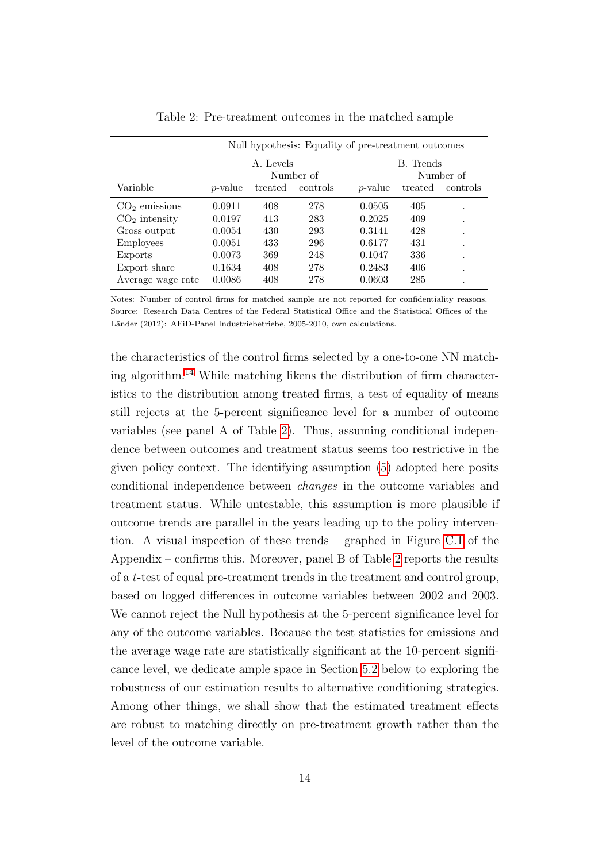<span id="page-13-0"></span>

|                   | Null hypothesis: Equality of pre-treatment outcomes |           |           |                 |           |           |
|-------------------|-----------------------------------------------------|-----------|-----------|-----------------|-----------|-----------|
|                   |                                                     | A. Levels |           |                 | B. Trends |           |
|                   |                                                     |           | Number of |                 |           | Number of |
| Variable          | <i>p</i> -value                                     | treated   | controls  | <i>p</i> -value | treated   | controls  |
| $CO2$ emissions   | 0.0911                                              | 408       | 278       | 0.0505          | 405       | ٠         |
| $CO2$ intensity   | 0.0197                                              | 413       | 283       | 0.2025          | 409       | ٠         |
| Gross output      | 0.0054                                              | 430       | 293       | 0.3141          | 428       |           |
| <b>Employees</b>  | 0.0051                                              | 433       | 296       | 0.6177          | 431       |           |
| Exports           | 0.0073                                              | 369       | 248       | 0.1047          | 336       |           |
| Export share      | 0.1634                                              | 408       | 278       | 0.2483          | 406       |           |
| Average wage rate | 0.0086                                              | 408       | 278       | 0.0603          | 285       |           |

Table 2: Pre-treatment outcomes in the matched sample

Notes: Number of control firms for matched sample are not reported for confidentiality reasons. Source: Research Data Centres of the Federal Statistical Office and the Statistical Offices of the Länder (2012): AFiD-Panel Industriebetriebe, 2005-2010, own calculations.

the characteristics of the control firms selected by a one-to-one NN match-ing algorithm.<sup>[14](#page-11-2)</sup> While matching likens the distribution of firm characteristics to the distribution among treated firms, a test of equality of means still rejects at the 5-percent significance level for a number of outcome variables (see panel A of Table [2\)](#page-13-0). Thus, assuming conditional independence between outcomes and treatment status seems too restrictive in the given policy context. The identifying assumption [\(5\)](#page-9-2) adopted here posits conditional independence between changes in the outcome variables and treatment status. While untestable, this assumption is more plausible if outcome trends are parallel in the years leading up to the policy intervention. A visual inspection of these trends – graphed in Figure [C.1](#page-43-0) of the Appendix – confirms this. Moreover, panel B of Table [2](#page-13-0) reports the results of a t-test of equal pre-treatment trends in the treatment and control group, based on logged differences in outcome variables between 2002 and 2003. We cannot reject the Null hypothesis at the 5-percent significance level for any of the outcome variables. Because the test statistics for emissions and the average wage rate are statistically significant at the 10-percent significance level, we dedicate ample space in Section [5.2](#page-18-0) below to exploring the robustness of our estimation results to alternative conditioning strategies. Among other things, we shall show that the estimated treatment effects are robust to matching directly on pre-treatment growth rather than the level of the outcome variable.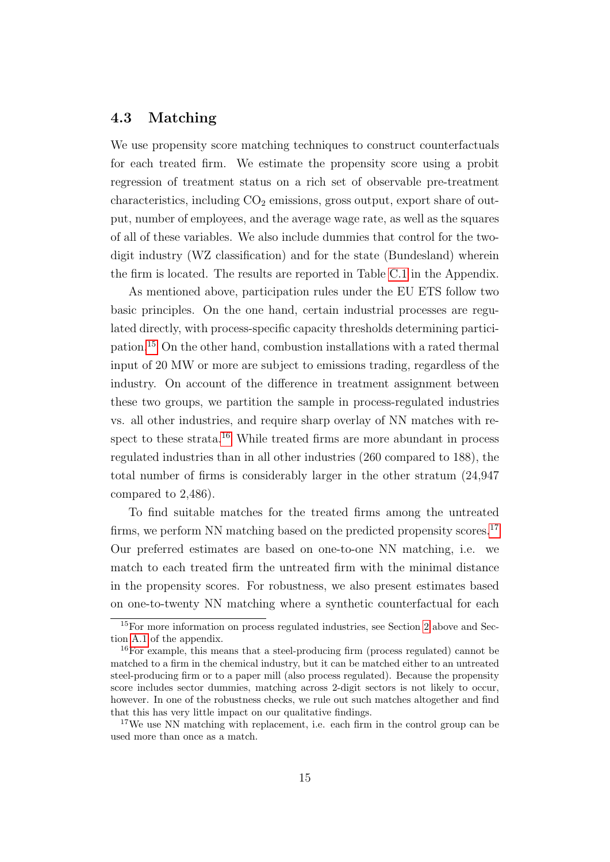### <span id="page-14-0"></span>4.3 Matching

We use propensity score matching techniques to construct counterfactuals for each treated firm. We estimate the propensity score using a probit regression of treatment status on a rich set of observable pre-treatment characteristics, including  $CO<sub>2</sub>$  emissions, gross output, export share of output, number of employees, and the average wage rate, as well as the squares of all of these variables. We also include dummies that control for the twodigit industry (WZ classification) and for the state (Bundesland) wherein the firm is located. The results are reported in Table [C.1](#page-44-0) in the Appendix.

As mentioned above, participation rules under the EU ETS follow two basic principles. On the one hand, certain industrial processes are regulated directly, with process-specific capacity thresholds determining participation.[15](#page-14-1) On the other hand, combustion installations with a rated thermal input of 20 MW or more are subject to emissions trading, regardless of the industry. On account of the difference in treatment assignment between these two groups, we partition the sample in process-regulated industries vs. all other industries, and require sharp overlay of NN matches with re-spect to these strata.<sup>[16](#page-14-2)</sup> While treated firms are more abundant in process regulated industries than in all other industries (260 compared to 188), the total number of firms is considerably larger in the other stratum (24,947 compared to 2,486).

To find suitable matches for the treated firms among the untreated firms, we perform NN matching based on the predicted propensity scores.<sup>[17](#page-14-3)</sup> Our preferred estimates are based on one-to-one NN matching, i.e. we match to each treated firm the untreated firm with the minimal distance in the propensity scores. For robustness, we also present estimates based on one-to-twenty NN matching where a synthetic counterfactual for each

<span id="page-14-1"></span><sup>15</sup>For more information on process regulated industries, see Section [2](#page-3-0) above and Section [A.1](#page-39-0) of the appendix.

<span id="page-14-2"></span><sup>16</sup>For example, this means that a steel-producing firm (process regulated) cannot be matched to a firm in the chemical industry, but it can be matched either to an untreated steel-producing firm or to a paper mill (also process regulated). Because the propensity score includes sector dummies, matching across 2-digit sectors is not likely to occur, however. In one of the robustness checks, we rule out such matches altogether and find that this has very little impact on our qualitative findings.

<span id="page-14-3"></span><sup>&</sup>lt;sup>17</sup>We use NN matching with replacement, i.e. each firm in the control group can be used more than once as a match.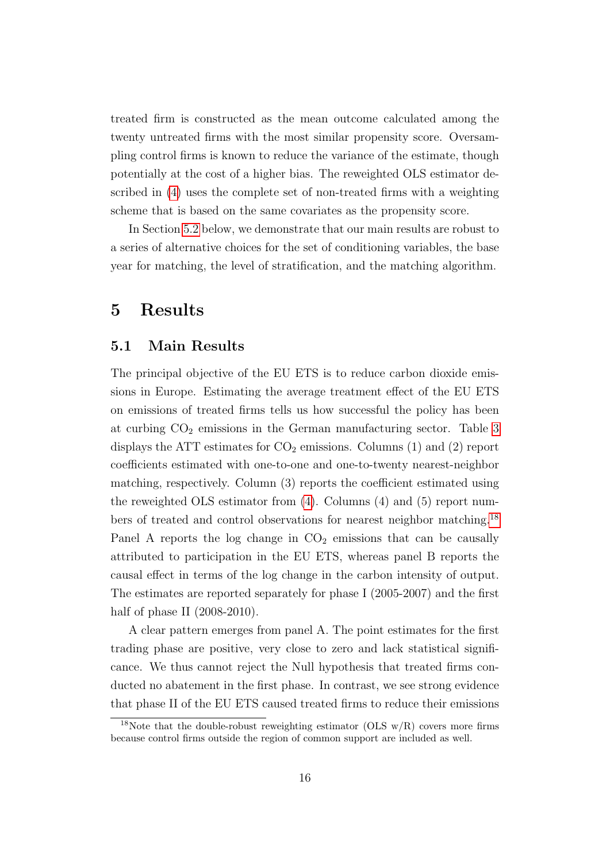treated firm is constructed as the mean outcome calculated among the twenty untreated firms with the most similar propensity score. Oversampling control firms is known to reduce the variance of the estimate, though potentially at the cost of a higher bias. The reweighted OLS estimator described in [\(4\)](#page-9-0) uses the complete set of non-treated firms with a weighting scheme that is based on the same covariates as the propensity score.

In Section [5.2](#page-18-0) below, we demonstrate that our main results are robust to a series of alternative choices for the set of conditioning variables, the base year for matching, the level of stratification, and the matching algorithm.

## <span id="page-15-0"></span>5 Results

### 5.1 Main Results

The principal objective of the EU ETS is to reduce carbon dioxide emissions in Europe. Estimating the average treatment effect of the EU ETS on emissions of treated firms tells us how successful the policy has been at curbing  $CO<sub>2</sub>$  emissions in the German manufacturing sector. Table [3](#page-16-0) displays the ATT estimates for  $CO_2$  emissions. Columns (1) and (2) report coefficients estimated with one-to-one and one-to-twenty nearest-neighbor matching, respectively. Column (3) reports the coefficient estimated using the reweighted OLS estimator from [\(4\)](#page-9-0). Columns (4) and (5) report numbers of treated and control observations for nearest neighbor matching.[18](#page-15-1) Panel A reports the log change in  $CO<sub>2</sub>$  emissions that can be causally attributed to participation in the EU ETS, whereas panel B reports the causal effect in terms of the log change in the carbon intensity of output. The estimates are reported separately for phase I (2005-2007) and the first half of phase II (2008-2010).

A clear pattern emerges from panel A. The point estimates for the first trading phase are positive, very close to zero and lack statistical significance. We thus cannot reject the Null hypothesis that treated firms conducted no abatement in the first phase. In contrast, we see strong evidence that phase II of the EU ETS caused treated firms to reduce their emissions

<span id="page-15-1"></span><sup>&</sup>lt;sup>18</sup>Note that the double-robust reweighting estimator (OLS  $w/R$ ) covers more firms because control firms outside the region of common support are included as well.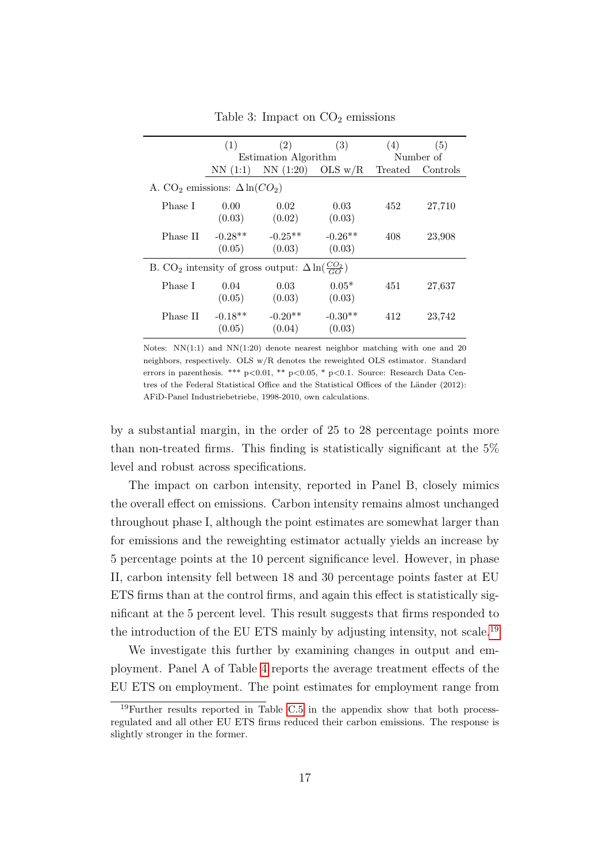<span id="page-16-0"></span>

|                                                                             | (1)                 | (2)                  | (3)                 | (4)     | (5)       |
|-----------------------------------------------------------------------------|---------------------|----------------------|---------------------|---------|-----------|
|                                                                             |                     | Estimation Algorithm |                     |         | Number of |
|                                                                             | NN(1:1)             | NN(1:20)             | OLS $w/R$           | Treated | Controls  |
| A. CO <sub>2</sub> emissions: $\Delta \ln(CO_2)$                            |                     |                      |                     |         |           |
| Phase I                                                                     | 0.00<br>(0.03)      | 0.02<br>(0.02)       | 0.03<br>(0.03)      | 452     | 27,710    |
| Phase II                                                                    | $-0.28**$<br>(0.05) | $-0.25**$<br>(0.03)  | $-0.26**$<br>(0.03) | 408     | 23,908    |
| B. CO <sub>2</sub> intensity of gross output: $\Delta \ln(\frac{CO_2}{GO})$ |                     |                      |                     |         |           |
| Phase I                                                                     | 0.04<br>(0.05)      | 0.03<br>(0.03)       | $0.05*$<br>(0.03)   | 451     | 27,637    |
| Phase II                                                                    | $-0.18**$<br>(0.05) | $-0.20**$<br>(0.04)  | $-0.30**$<br>(0.03) | 412     | 23,742    |

Table 3: Impact on  $CO<sub>2</sub>$  emissions

Notes:  $NN(1:1)$  and  $NN(1:20)$  denote nearest neighbor matching with one and 20 neighbors, respectively. OLS w/R denotes the reweighted OLS estimator. Standard errors in parenthesis. \*\*\*  $p<0.01$ , \*\*  $p<0.05$ , \*  $p<0.1$ . Source: Research Data Centres of the Federal Statistical Office and the Statistical Offices of the Länder (2012): AFiD-Panel Industriebetriebe, 1998-2010, own calculations.

by a substantial margin, in the order of 25 to 28 percentage points more than non-treated firms. This finding is statistically significant at the 5% level and robust across specifications.

The impact on carbon intensity, reported in Panel B, closely mimics the overall effect on emissions. Carbon intensity remains almost unchanged throughout phase I, although the point estimates are somewhat larger than for emissions and the reweighting estimator actually yields an increase by 5 percentage points at the 10 percent significance level. However, in phase II, carbon intensity fell between 18 and 30 percentage points faster at EU ETS firms than at the control firms, and again this effect is statistically significant at the 5 percent level. This result suggests that firms responded to the introduction of the EU ETS mainly by adjusting intensity, not scale.[19](#page-16-1)

We investigate this further by examining changes in output and employment. Panel A of Table [4](#page-17-0) reports the average treatment effects of the EU ETS on employment. The point estimates for employment range from

<span id="page-16-1"></span><sup>19</sup>Further results reported in Table [C.5](#page-48-0) in the appendix show that both processregulated and all other EU ETS firms reduced their carbon emissions. The response is slightly stronger in the former.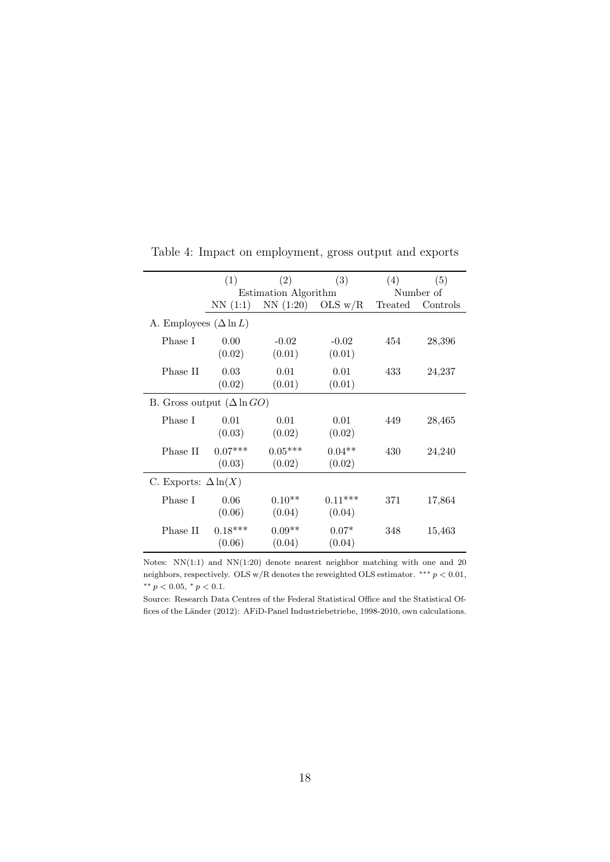|                                   | (1)                 | (2)                  | (3)                 | (4)     | (5)       |
|-----------------------------------|---------------------|----------------------|---------------------|---------|-----------|
|                                   |                     | Estimation Algorithm |                     |         | Number of |
|                                   | NN(1:1)             | NN(1:20)             | OLS $w/R$           | Treated | Controls  |
| A. Employees $(\Delta \ln L)$     |                     |                      |                     |         |           |
| Phase I                           | 0.00<br>(0.02)      | $-0.02$<br>(0.01)    | $-0.02$<br>(0.01)   | 454     | 28,396    |
| Phase II                          | 0.03<br>(0.02)      | 0.01<br>(0.01)       | 0.01<br>(0.01)      | 433     | 24,237    |
| B. Gross output $(\Delta \ln GO)$ |                     |                      |                     |         |           |
| Phase I                           | 0.01<br>(0.03)      | 0.01<br>(0.02)       | 0.01<br>(0.02)      | 449     | 28,465    |
| Phase II                          | $0.07***$<br>(0.03) | $0.05***$<br>(0.02)  | $0.04**$<br>(0.02)  | 430     | 24,240    |
| C. Exports: $\Delta \ln(X)$       |                     |                      |                     |         |           |
| Phase I                           | 0.06<br>(0.06)      | $0.10**$<br>(0.04)   | $0.11***$<br>(0.04) | 371     | 17,864    |
| Phase II                          | $0.18***$<br>(0.06) | $0.09**$<br>(0.04)   | $0.07*$<br>(0.04)   | 348     | 15,463    |

<span id="page-17-0"></span>Table 4: Impact on employment, gross output and exports

Notes: NN(1:1) and NN(1:20) denote nearest neighbor matching with one and 20 neighbors, respectively. OLS w/R denotes the reweighted OLS estimator.  $***\ p<0.01,$ ∗∗ p < 0.05, <sup>∗</sup> p < 0.1.

Source: Research Data Centres of the Federal Statistical Office and the Statistical Offices of the Länder (2012): AFiD-Panel Industriebetriebe, 1998-2010, own calculations.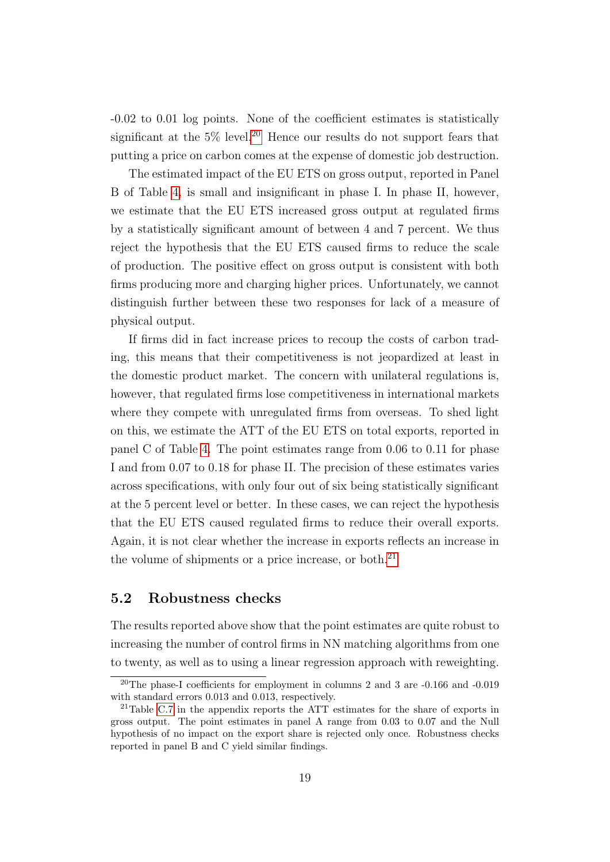-0.02 to 0.01 log points. None of the coefficient estimates is statistically significant at the  $5\%$  level.<sup>[20](#page-18-1)</sup> Hence our results do not support fears that putting a price on carbon comes at the expense of domestic job destruction.

The estimated impact of the EU ETS on gross output, reported in Panel B of Table [4,](#page-17-0) is small and insignificant in phase I. In phase II, however, we estimate that the EU ETS increased gross output at regulated firms by a statistically significant amount of between 4 and 7 percent. We thus reject the hypothesis that the EU ETS caused firms to reduce the scale of production. The positive effect on gross output is consistent with both firms producing more and charging higher prices. Unfortunately, we cannot distinguish further between these two responses for lack of a measure of physical output.

If firms did in fact increase prices to recoup the costs of carbon trading, this means that their competitiveness is not jeopardized at least in the domestic product market. The concern with unilateral regulations is, however, that regulated firms lose competitiveness in international markets where they compete with unregulated firms from overseas. To shed light on this, we estimate the ATT of the EU ETS on total exports, reported in panel C of Table [4.](#page-17-0) The point estimates range from 0.06 to 0.11 for phase I and from 0.07 to 0.18 for phase II. The precision of these estimates varies across specifications, with only four out of six being statistically significant at the 5 percent level or better. In these cases, we can reject the hypothesis that the EU ETS caused regulated firms to reduce their overall exports. Again, it is not clear whether the increase in exports reflects an increase in the volume of shipments or a price increase, or both.<sup>[21](#page-18-2)</sup>

### <span id="page-18-0"></span>5.2 Robustness checks

The results reported above show that the point estimates are quite robust to increasing the number of control firms in NN matching algorithms from one to twenty, as well as to using a linear regression approach with reweighting.

<span id="page-18-1"></span><sup>20</sup>The phase-I coefficients for employment in columns 2 and 3 are -0.166 and -0.019 with standard errors 0.013 and 0.013, respectively.

<span id="page-18-2"></span><sup>21</sup>Table [C.7](#page-50-0) in the appendix reports the ATT estimates for the share of exports in gross output. The point estimates in panel A range from 0.03 to 0.07 and the Null hypothesis of no impact on the export share is rejected only once. Robustness checks reported in panel B and C yield similar findings.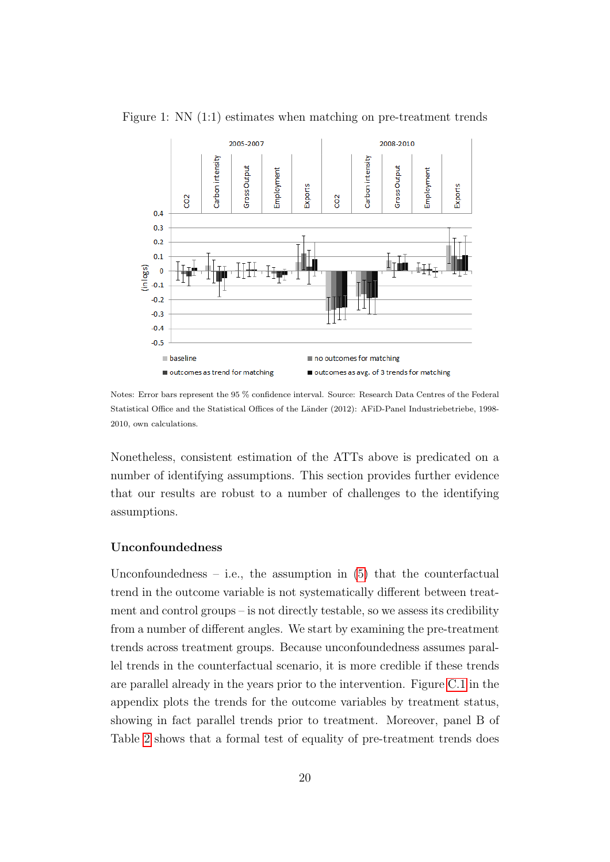

<span id="page-19-0"></span>Figure 1: NN (1:1) estimates when matching on pre-treatment trends

Notes: Error bars represent the 95 % confidence interval. Source: Research Data Centres of the Federal Statistical Office and the Statistical Offices of the Länder (2012): AFiD-Panel Industriebetriebe, 1998-2010, own calculations.

Nonetheless, consistent estimation of the ATTs above is predicated on a number of identifying assumptions. This section provides further evidence that our results are robust to a number of challenges to the identifying assumptions.

#### Unconfoundedness

Unconfoundedness – i.e., the assumption in  $(5)$  that the counterfactual trend in the outcome variable is not systematically different between treatment and control groups – is not directly testable, so we assess its credibility from a number of different angles. We start by examining the pre-treatment trends across treatment groups. Because unconfoundedness assumes parallel trends in the counterfactual scenario, it is more credible if these trends are parallel already in the years prior to the intervention. Figure [C.1](#page-43-0) in the appendix plots the trends for the outcome variables by treatment status, showing in fact parallel trends prior to treatment. Moreover, panel B of Table [2](#page-13-0) shows that a formal test of equality of pre-treatment trends does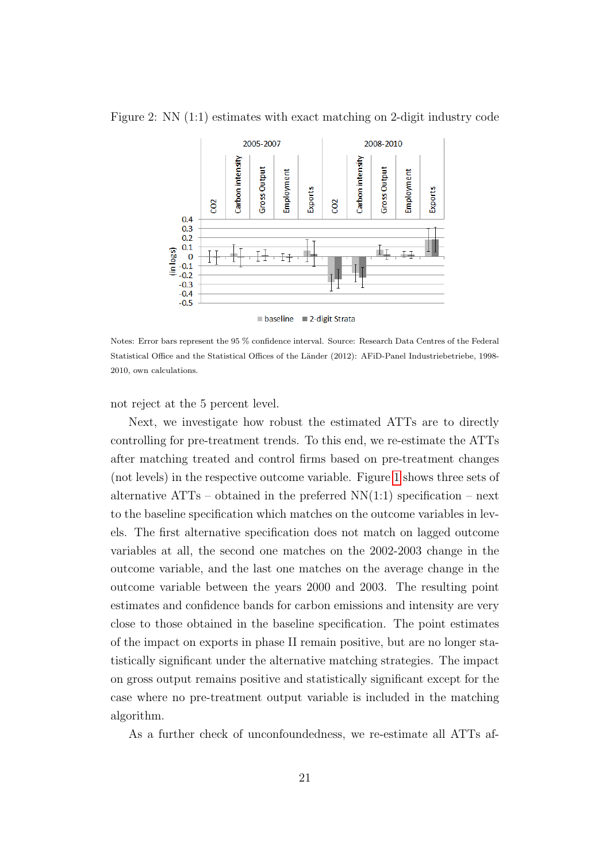<span id="page-20-0"></span>



**baseline** ■ 2-digit Strata

Notes: Error bars represent the 95 % confidence interval. Source: Research Data Centres of the Federal Statistical Office and the Statistical Offices of the Länder (2012): AFiD-Panel Industriebetriebe, 1998-2010, own calculations.

not reject at the 5 percent level.

Next, we investigate how robust the estimated ATTs are to directly controlling for pre-treatment trends. To this end, we re-estimate the ATTs after matching treated and control firms based on pre-treatment changes (not levels) in the respective outcome variable. Figure [1](#page-19-0) shows three sets of alternative ATTs – obtained in the preferred  $NN(1:1)$  specification – next to the baseline specification which matches on the outcome variables in levels. The first alternative specification does not match on lagged outcome variables at all, the second one matches on the 2002-2003 change in the outcome variable, and the last one matches on the average change in the outcome variable between the years 2000 and 2003. The resulting point estimates and confidence bands for carbon emissions and intensity are very close to those obtained in the baseline specification. The point estimates of the impact on exports in phase II remain positive, but are no longer statistically significant under the alternative matching strategies. The impact on gross output remains positive and statistically significant except for the case where no pre-treatment output variable is included in the matching algorithm.

As a further check of unconfoundedness, we re-estimate all ATTs af-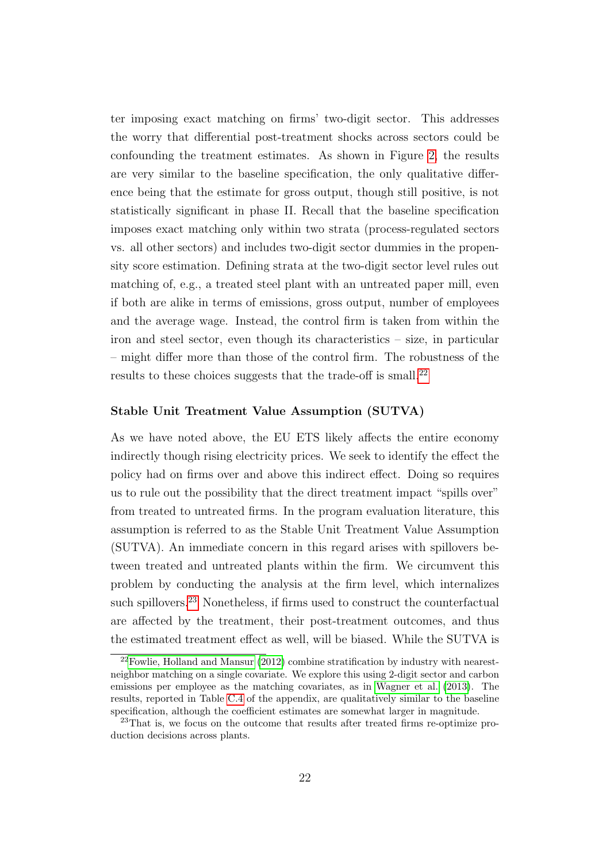ter imposing exact matching on firms' two-digit sector. This addresses the worry that differential post-treatment shocks across sectors could be confounding the treatment estimates. As shown in Figure [2,](#page-20-0) the results are very similar to the baseline specification, the only qualitative difference being that the estimate for gross output, though still positive, is not statistically significant in phase II. Recall that the baseline specification imposes exact matching only within two strata (process-regulated sectors vs. all other sectors) and includes two-digit sector dummies in the propensity score estimation. Defining strata at the two-digit sector level rules out matching of, e.g., a treated steel plant with an untreated paper mill, even if both are alike in terms of emissions, gross output, number of employees and the average wage. Instead, the control firm is taken from within the iron and steel sector, even though its characteristics – size, in particular – might differ more than those of the control firm. The robustness of the results to these choices suggests that the trade-off is small.<sup>[22](#page-21-0)</sup>

#### Stable Unit Treatment Value Assumption (SUTVA)

As we have noted above, the EU ETS likely affects the entire economy indirectly though rising electricity prices. We seek to identify the effect the policy had on firms over and above this indirect effect. Doing so requires us to rule out the possibility that the direct treatment impact "spills over" from treated to untreated firms. In the program evaluation literature, this assumption is referred to as the Stable Unit Treatment Value Assumption (SUTVA). An immediate concern in this regard arises with spillovers between treated and untreated plants within the firm. We circumvent this problem by conducting the analysis at the firm level, which internalizes such spillovers.<sup>[23](#page-21-1)</sup> Nonetheless, if firms used to construct the counterfactual are affected by the treatment, their post-treatment outcomes, and thus the estimated treatment effect as well, will be biased. While the SUTVA is

<span id="page-21-0"></span><sup>22</sup>[Fowlie, Holland and Mansur](#page-36-1) [\(2012\)](#page-36-1) combine stratification by industry with nearestneighbor matching on a single covariate. We explore this using 2-digit sector and carbon emissions per employee as the matching covariates, as in [Wagner et al.](#page-38-1) [\(2013\)](#page-38-1). The results, reported in Table [C.4](#page-47-0) of the appendix, are qualitatively similar to the baseline specification, although the coefficient estimates are somewhat larger in magnitude.

<span id="page-21-1"></span><sup>23</sup>That is, we focus on the outcome that results after treated firms re-optimize production decisions across plants.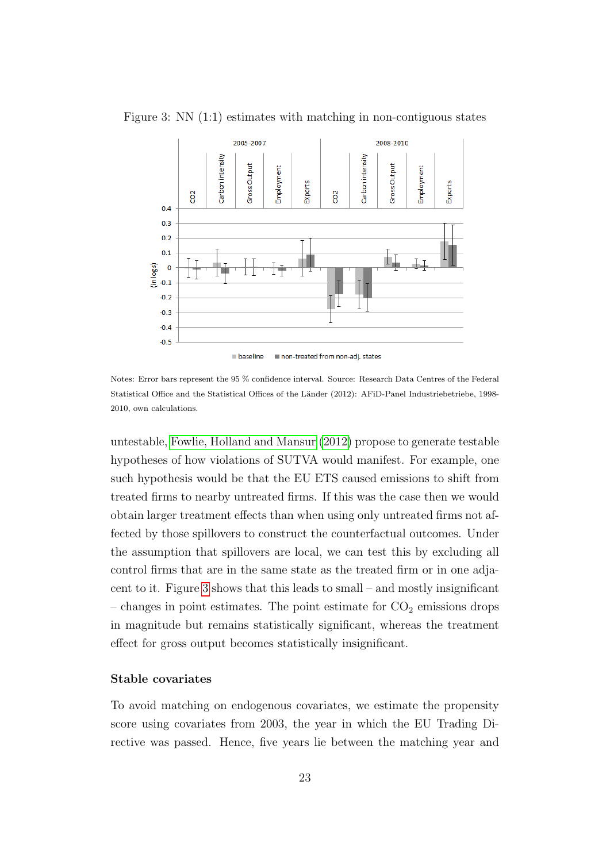

<span id="page-22-0"></span>Figure 3: NN (1:1) estimates with matching in non-contiguous states

Notes: Error bars represent the 95 % confidence interval. Source: Research Data Centres of the Federal Statistical Office and the Statistical Offices of the Länder (2012): AFiD-Panel Industriebetriebe, 1998-2010, own calculations.

untestable, [Fowlie, Holland and Mansur](#page-36-1) [\(2012\)](#page-36-1) propose to generate testable hypotheses of how violations of SUTVA would manifest. For example, one such hypothesis would be that the EU ETS caused emissions to shift from treated firms to nearby untreated firms. If this was the case then we would obtain larger treatment effects than when using only untreated firms not affected by those spillovers to construct the counterfactual outcomes. Under the assumption that spillovers are local, we can test this by excluding all control firms that are in the same state as the treated firm or in one adjacent to it. Figure [3](#page-22-0) shows that this leads to small – and mostly insignificant – changes in point estimates. The point estimate for  $CO<sub>2</sub>$  emissions drops in magnitude but remains statistically significant, whereas the treatment effect for gross output becomes statistically insignificant.

#### Stable covariates

To avoid matching on endogenous covariates, we estimate the propensity score using covariates from 2003, the year in which the EU Trading Directive was passed. Hence, five years lie between the matching year and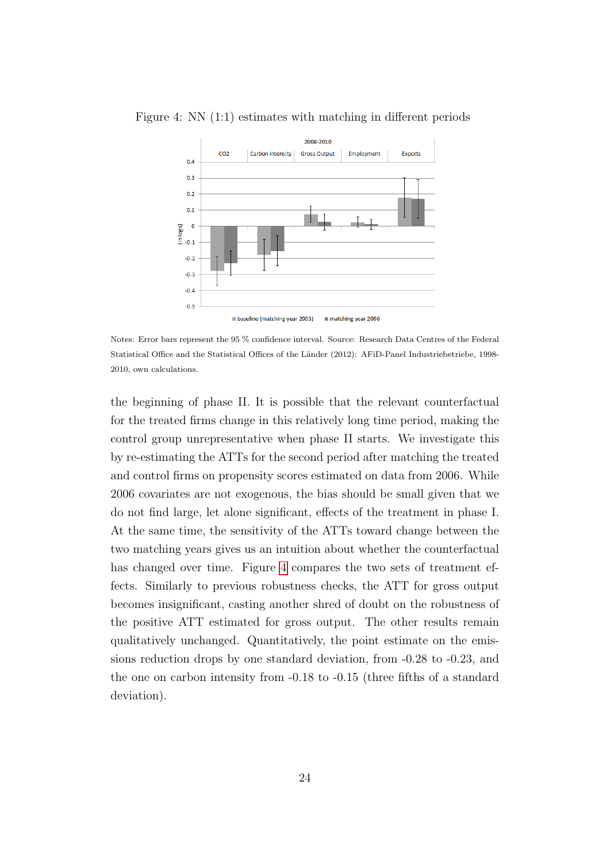

<span id="page-23-0"></span>Figure 4: NN (1:1) estimates with matching in different periods

Notes: Error bars represent the 95 % confidence interval. Source: Research Data Centres of the Federal Statistical Office and the Statistical Offices of the Länder (2012): AFiD-Panel Industriebetriebe, 1998-2010, own calculations.

the beginning of phase II. It is possible that the relevant counterfactual for the treated firms change in this relatively long time period, making the control group unrepresentative when phase II starts. We investigate this by re-estimating the ATTs for the second period after matching the treated and control firms on propensity scores estimated on data from 2006. While 2006 covariates are not exogenous, the bias should be small given that we do not find large, let alone significant, effects of the treatment in phase I. At the same time, the sensitivity of the ATTs toward change between the two matching years gives us an intuition about whether the counterfactual has changed over time. Figure [4](#page-23-0) compares the two sets of treatment effects. Similarly to previous robustness checks, the ATT for gross output becomes insignificant, casting another shred of doubt on the robustness of the positive ATT estimated for gross output. The other results remain qualitatively unchanged. Quantitatively, the point estimate on the emissions reduction drops by one standard deviation, from -0.28 to -0.23, and the one on carbon intensity from -0.18 to -0.15 (three fifths of a standard deviation).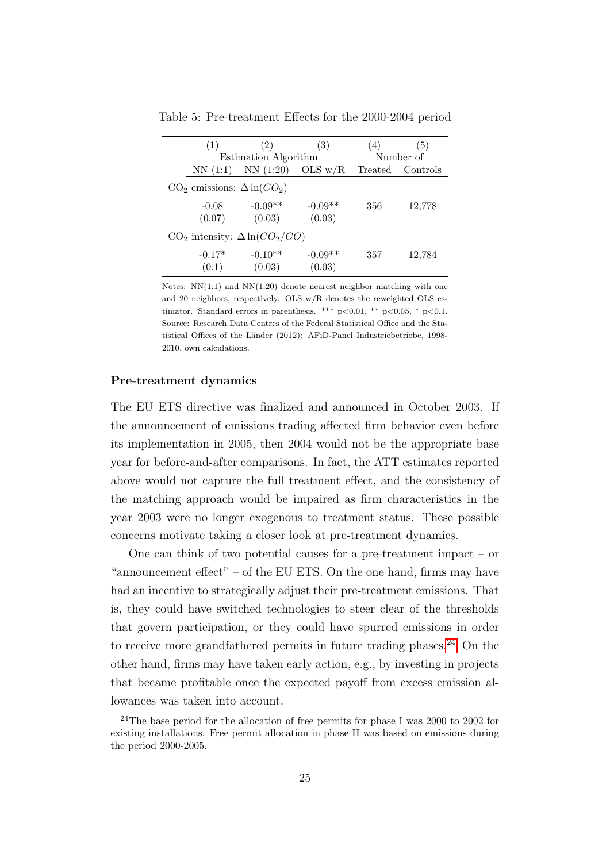| (1)                                   | (2)                         | (3)       | (4)     | (5)       |  |  |  |
|---------------------------------------|-----------------------------|-----------|---------|-----------|--|--|--|
|                                       | <b>Estimation Algorithm</b> |           |         | Number of |  |  |  |
| NN(1:1)                               | NN(1:20)                    | OLS $w/R$ | Treated | Controls  |  |  |  |
| $CO2$ emissions: $\Delta \ln(CO2)$    |                             |           |         |           |  |  |  |
| $-0.08$                               | $-0.09**$                   | $-0.09**$ | 356     | 12,778    |  |  |  |
| (0.07)                                | (0.03)                      | (0.03)    |         |           |  |  |  |
| $CO2$ intensity: $\Delta \ln(CO2/GO)$ |                             |           |         |           |  |  |  |
| $-0.17*$                              | $-0.10**$                   | $-0.09**$ | 357     | 12,784    |  |  |  |
| (0.1)                                 | (0.03)                      | (0.03)    |         |           |  |  |  |

<span id="page-24-1"></span>Table 5: Pre-treatment Effects for the 2000-2004 period

Notes:  $NN(1:1)$  and  $NN(1:20)$  denote nearest neighbor matching with one and 20 neighbors, respectively. OLS w/R denotes the reweighted OLS estimator. Standard errors in parenthesis. \*\*\*  $p<0.01$ , \*\*  $p<0.05$ , \*  $p<0.1$ . Source: Research Data Centres of the Federal Statistical Office and the Statistical Offices of the Länder (2012): AFiD-Panel Industriebetriebe, 1998-2010, own calculations.

#### Pre-treatment dynamics

The EU ETS directive was finalized and announced in October 2003. If the announcement of emissions trading affected firm behavior even before its implementation in 2005, then 2004 would not be the appropriate base year for before-and-after comparisons. In fact, the ATT estimates reported above would not capture the full treatment effect, and the consistency of the matching approach would be impaired as firm characteristics in the year 2003 were no longer exogenous to treatment status. These possible concerns motivate taking a closer look at pre-treatment dynamics.

One can think of two potential causes for a pre-treatment impact – or "announcement effect" – of the EU ETS. On the one hand, firms may have had an incentive to strategically adjust their pre-treatment emissions. That is, they could have switched technologies to steer clear of the thresholds that govern participation, or they could have spurred emissions in order to receive more grandfathered permits in future trading phases. $24$  On the other hand, firms may have taken early action, e.g., by investing in projects that became profitable once the expected payoff from excess emission allowances was taken into account.

<span id="page-24-0"></span><sup>24</sup>The base period for the allocation of free permits for phase I was 2000 to 2002 for existing installations. Free permit allocation in phase II was based on emissions during the period 2000-2005.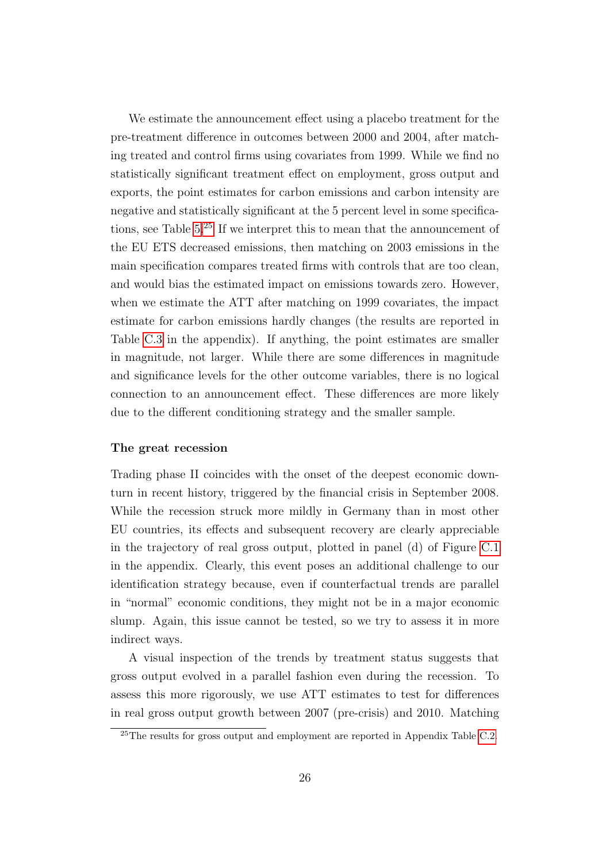We estimate the announcement effect using a placebo treatment for the pre-treatment difference in outcomes between 2000 and 2004, after matching treated and control firms using covariates from 1999. While we find no statistically significant treatment effect on employment, gross output and exports, the point estimates for carbon emissions and carbon intensity are negative and statistically significant at the 5 percent level in some specifications, see Table  $5.^{25}$  $5.^{25}$  $5.^{25}$  If we interpret this to mean that the announcement of the EU ETS decreased emissions, then matching on 2003 emissions in the main specification compares treated firms with controls that are too clean, and would bias the estimated impact on emissions towards zero. However, when we estimate the ATT after matching on 1999 covariates, the impact estimate for carbon emissions hardly changes (the results are reported in Table [C.3](#page-46-0) in the appendix). If anything, the point estimates are smaller in magnitude, not larger. While there are some differences in magnitude and significance levels for the other outcome variables, there is no logical connection to an announcement effect. These differences are more likely due to the different conditioning strategy and the smaller sample.

#### The great recession

Trading phase II coincides with the onset of the deepest economic downturn in recent history, triggered by the financial crisis in September 2008. While the recession struck more mildly in Germany than in most other EU countries, its effects and subsequent recovery are clearly appreciable in the trajectory of real gross output, plotted in panel (d) of Figure [C.1](#page-43-0) in the appendix. Clearly, this event poses an additional challenge to our identification strategy because, even if counterfactual trends are parallel in "normal" economic conditions, they might not be in a major economic slump. Again, this issue cannot be tested, so we try to assess it in more indirect ways.

A visual inspection of the trends by treatment status suggests that gross output evolved in a parallel fashion even during the recession. To assess this more rigorously, we use ATT estimates to test for differences in real gross output growth between 2007 (pre-crisis) and 2010. Matching

<span id="page-25-0"></span> $25$ The results for gross output and employment are reported in Appendix Table [C.2.](#page-45-0)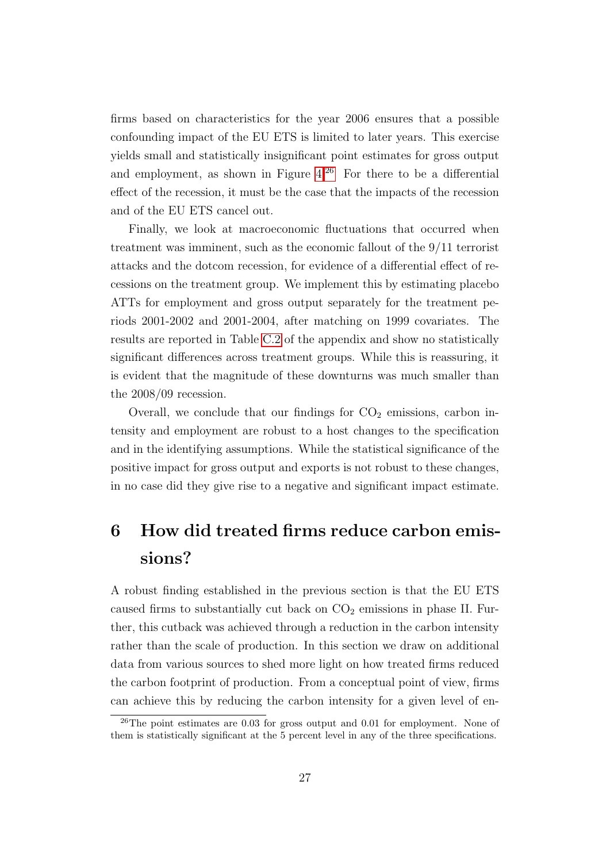firms based on characteristics for the year 2006 ensures that a possible confounding impact of the EU ETS is limited to later years. This exercise yields small and statistically insignificant point estimates for gross output and employment, as shown in Figure  $4^{26}$  $4^{26}$  $4^{26}$  For there to be a differential effect of the recession, it must be the case that the impacts of the recession and of the EU ETS cancel out.

Finally, we look at macroeconomic fluctuations that occurred when treatment was imminent, such as the economic fallout of the 9/11 terrorist attacks and the dotcom recession, for evidence of a differential effect of recessions on the treatment group. We implement this by estimating placebo ATTs for employment and gross output separately for the treatment periods 2001-2002 and 2001-2004, after matching on 1999 covariates. The results are reported in Table [C.2](#page-45-0) of the appendix and show no statistically significant differences across treatment groups. While this is reassuring, it is evident that the magnitude of these downturns was much smaller than the 2008/09 recession.

Overall, we conclude that our findings for  $CO<sub>2</sub>$  emissions, carbon intensity and employment are robust to a host changes to the specification and in the identifying assumptions. While the statistical significance of the positive impact for gross output and exports is not robust to these changes, in no case did they give rise to a negative and significant impact estimate.

# <span id="page-26-0"></span>6 How did treated firms reduce carbon emissions?

A robust finding established in the previous section is that the EU ETS caused firms to substantially cut back on  $CO<sub>2</sub>$  emissions in phase II. Further, this cutback was achieved through a reduction in the carbon intensity rather than the scale of production. In this section we draw on additional data from various sources to shed more light on how treated firms reduced the carbon footprint of production. From a conceptual point of view, firms can achieve this by reducing the carbon intensity for a given level of en-

<span id="page-26-1"></span> $^{26}$ The point estimates are 0.03 for gross output and 0.01 for employment. None of them is statistically significant at the 5 percent level in any of the three specifications.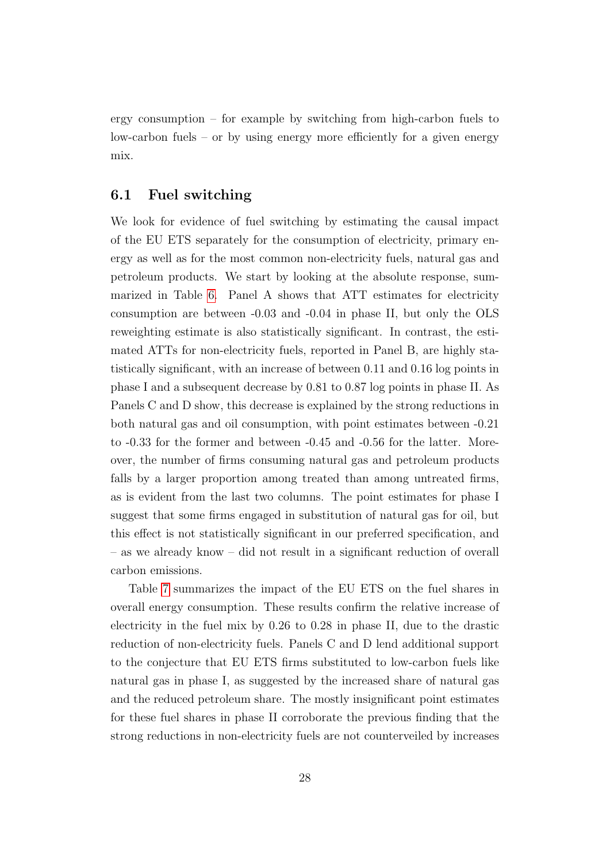ergy consumption – for example by switching from high-carbon fuels to low-carbon fuels – or by using energy more efficiently for a given energy mix.

### 6.1 Fuel switching

We look for evidence of fuel switching by estimating the causal impact of the EU ETS separately for the consumption of electricity, primary energy as well as for the most common non-electricity fuels, natural gas and petroleum products. We start by looking at the absolute response, summarized in Table [6.](#page-29-0) Panel A shows that ATT estimates for electricity consumption are between -0.03 and -0.04 in phase II, but only the OLS reweighting estimate is also statistically significant. In contrast, the estimated ATTs for non-electricity fuels, reported in Panel B, are highly statistically significant, with an increase of between 0.11 and 0.16 log points in phase I and a subsequent decrease by 0.81 to 0.87 log points in phase II. As Panels C and D show, this decrease is explained by the strong reductions in both natural gas and oil consumption, with point estimates between -0.21 to -0.33 for the former and between -0.45 and -0.56 for the latter. Moreover, the number of firms consuming natural gas and petroleum products falls by a larger proportion among treated than among untreated firms, as is evident from the last two columns. The point estimates for phase I suggest that some firms engaged in substitution of natural gas for oil, but this effect is not statistically significant in our preferred specification, and – as we already know – did not result in a significant reduction of overall carbon emissions.

Table [7](#page-30-0) summarizes the impact of the EU ETS on the fuel shares in overall energy consumption. These results confirm the relative increase of electricity in the fuel mix by 0.26 to 0.28 in phase II, due to the drastic reduction of non-electricity fuels. Panels C and D lend additional support to the conjecture that EU ETS firms substituted to low-carbon fuels like natural gas in phase I, as suggested by the increased share of natural gas and the reduced petroleum share. The mostly insignificant point estimates for these fuel shares in phase II corroborate the previous finding that the strong reductions in non-electricity fuels are not counterveiled by increases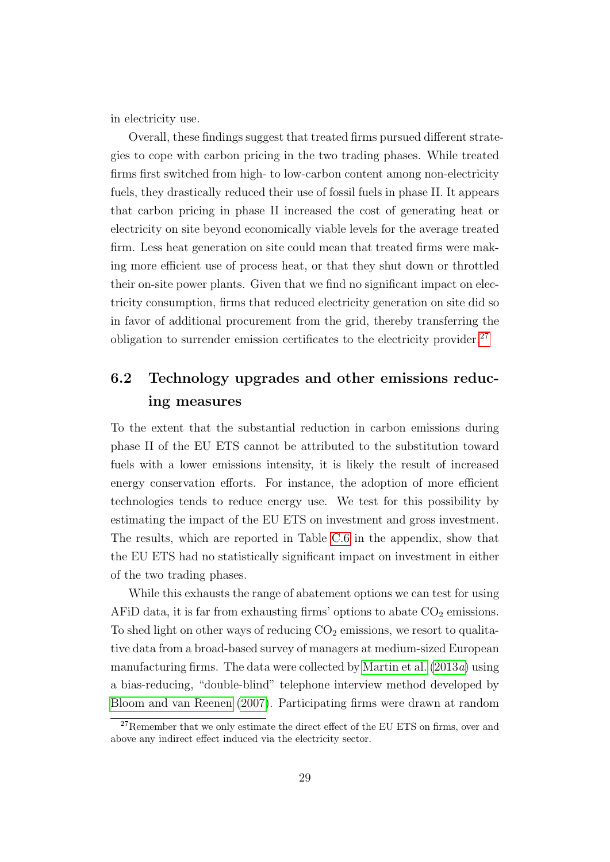in electricity use.

Overall, these findings suggest that treated firms pursued different strategies to cope with carbon pricing in the two trading phases. While treated firms first switched from high- to low-carbon content among non-electricity fuels, they drastically reduced their use of fossil fuels in phase II. It appears that carbon pricing in phase II increased the cost of generating heat or electricity on site beyond economically viable levels for the average treated firm. Less heat generation on site could mean that treated firms were making more efficient use of process heat, or that they shut down or throttled their on-site power plants. Given that we find no significant impact on electricity consumption, firms that reduced electricity generation on site did so in favor of additional procurement from the grid, thereby transferring the obligation to surrender emission certificates to the electricity provider. $27$ 

## 6.2 Technology upgrades and other emissions reducing measures

To the extent that the substantial reduction in carbon emissions during phase II of the EU ETS cannot be attributed to the substitution toward fuels with a lower emissions intensity, it is likely the result of increased energy conservation efforts. For instance, the adoption of more efficient technologies tends to reduce energy use. We test for this possibility by estimating the impact of the EU ETS on investment and gross investment. The results, which are reported in Table [C.6](#page-49-0) in the appendix, show that the EU ETS had no statistically significant impact on investment in either of the two trading phases.

While this exhausts the range of abatement options we can test for using AFiD data, it is far from exhausting firms' options to abate  $CO<sub>2</sub>$  emissions. To shed light on other ways of reducing  $CO<sub>2</sub>$  emissions, we resort to qualitative data from a broad-based survey of managers at medium-sized European manufacturing firms. The data were collected by [Martin et al.](#page-37-4)  $(2013a)$  $(2013a)$  using a bias-reducing, "double-blind" telephone interview method developed by [Bloom and van Reenen](#page-34-4) [\(2007\)](#page-34-4). Participating firms were drawn at random

<span id="page-28-0"></span><sup>&</sup>lt;sup>27</sup>Remember that we only estimate the direct effect of the EU ETS on firms, over and above any indirect effect induced via the electricity sector.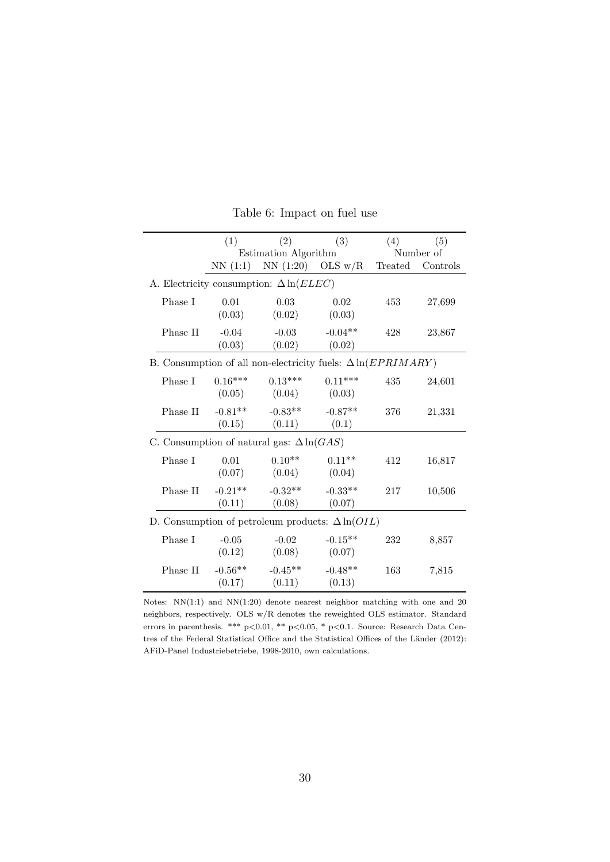<span id="page-29-0"></span>

|                                                                      | (1)                  | (2)                                     | (3)                 | (4) | (5)              |
|----------------------------------------------------------------------|----------------------|-----------------------------------------|---------------------|-----|------------------|
|                                                                      |                      | Estimation Algorithm                    |                     |     | Number of        |
|                                                                      |                      | NN $(1:1)$ NN $(1:20)$ OLS w/R          |                     |     | Treated Controls |
| A. Electricity consumption: $\Delta \ln (E L E C)$                   |                      |                                         |                     |     |                  |
| Phase I                                                              | 0.01<br>(0.03)       | 0.03<br>(0.02)                          | 0.02<br>(0.03)      | 453 | 27,699           |
| Phase II                                                             | $-0.04$<br>(0.03)    | $-0.03$<br>(0.02)                       | $-0.04**$<br>(0.02) | 428 | 23,867           |
| B. Consumption of all non-electricity fuels: $\Delta \ln (EPRIMARY)$ |                      |                                         |                     |     |                  |
| Phase I                                                              | $0.16***$            | $0.13***$<br>$(0.05)$ $(0.04)$ $(0.03)$ | $0.11***$           | 435 | 24,601           |
| Phase II                                                             | (0.15)               | $-0.81***$ $-0.83***$<br>(0.11)         | $-0.87**$<br>(0.1)  | 376 | 21,331           |
| C. Consumption of natural gas: $\Delta \ln(GAS)$                     |                      |                                         |                     |     |                  |
| Phase I                                                              | 0.01<br>(0.07)       | $0.10^{**}$<br>(0.04)                   | $0.11**$<br>(0.04)  | 412 | 16,817           |
| Phase II                                                             | $-0.21***$<br>(0.11) | $-0.32**$<br>(0.08)                     | $-0.33**$<br>(0.07) | 217 | 10,506           |
| D. Consumption of petroleum products: $\Delta \ln(OIL)$              |                      |                                         |                     |     |                  |
| Phase I                                                              | $-0.05$<br>(0.12)    | $-0.02$<br>(0.08)                       | $-0.15**$<br>(0.07) | 232 | 8,857            |
| Phase II                                                             | $-0.56**$<br>(0.17)  | $-0.45**$<br>$(0.11)$ $(0.13)$          | $-0.48**$           | 163 | 7,815            |

Table 6: Impact on fuel use

Notes: NN(1:1) and NN(1:20) denote nearest neighbor matching with one and 20 neighbors, respectively. OLS w/R denotes the reweighted OLS estimator. Standard errors in parenthesis. \*\*\* p<0.01, \*\* p<0.05, \* p<0.1. Source: Research Data Centres of the Federal Statistical Office and the Statistical Offices of the Länder (2012): AFiD-Panel Industriebetriebe, 1998-2010, own calculations.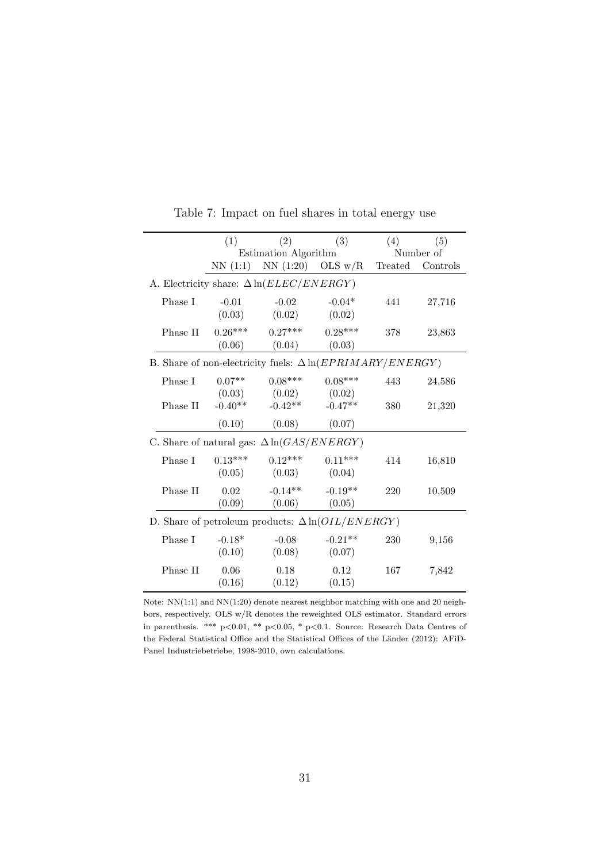<span id="page-30-0"></span>

|                                                                   | (1)       | (2)                                               | (3)                 | (4) | (5)              |
|-------------------------------------------------------------------|-----------|---------------------------------------------------|---------------------|-----|------------------|
|                                                                   |           | Estimation Algorithm                              |                     |     | Number of        |
|                                                                   | NN(1:1)   |                                                   | NN $(1:20)$ OLS w/R |     | Treated Controls |
| A. Electricity share: $\Delta \ln(ELEC/ENERGY)$                   |           |                                                   |                     |     |                  |
| Phase I                                                           | $-0.01$   | $-0.02$                                           | $-0.04*$            | 441 | 27,716           |
|                                                                   | (0.03)    | (0.02)                                            | (0.02)              |     |                  |
| Phase II                                                          | $0.26***$ | $0.27***$                                         | $0.28***$           | 378 | 23,863           |
|                                                                   | (0.06)    | (0.04)                                            | (0.03)              |     |                  |
| B. Share of non-electricity fuels: $\Delta \ln (EPRIMARY/ENERGY)$ |           |                                                   |                     |     |                  |
| Phase I                                                           | $0.07**$  | $0.08***$                                         | $0.08***$           | 443 | 24,586           |
|                                                                   | (0.03)    | (0.02)                                            | (0.02)              |     |                  |
| Phase II                                                          | $-0.40**$ | $-0.42**$                                         | $-0.47**$           | 380 | 21,320           |
|                                                                   | (0.10)    | (0.08)                                            | (0.07)              |     |                  |
|                                                                   |           | C. Share of natural gas: $\Delta \ln(GAS/ENERGY)$ |                     |     |                  |
| Phase I                                                           | $0.13***$ | $0.12***$                                         | $0.11***$           | 414 | 16,810           |
|                                                                   | (0.05)    | (0.03)                                            | (0.04)              |     |                  |
| Phase II                                                          | 0.02      | $-0.14**$                                         | $-0.19**$           | 220 | 10,509           |
|                                                                   | (0.09)    | (0.06)                                            | (0.05)              |     |                  |
| D. Share of petroleum products: $\Delta \ln(OIL/ENERGY)$          |           |                                                   |                     |     |                  |
| Phase I                                                           | $-0.18*$  | $-0.08$                                           | $-0.21**$           | 230 | 9,156            |
|                                                                   | (0.10)    | (0.08)                                            | (0.07)              |     |                  |
| Phase II                                                          | 0.06      | 0.18                                              | 0.12                | 167 | 7,842            |
|                                                                   | (0.16)    | (0.12)                                            | (0.15)              |     |                  |

Table 7: Impact on fuel shares in total energy use

Note: NN(1:1) and NN(1:20) denote nearest neighbor matching with one and 20 neighbors, respectively. OLS w/R denotes the reweighted OLS estimator. Standard errors in parenthesis. \*\*\* p<0.01, \*\* p<0.05, \* p<0.1. Source: Research Data Centres of the Federal Statistical Office and the Statistical Offices of the Länder (2012): AFiD-Panel Industriebetriebe, 1998-2010, own calculations.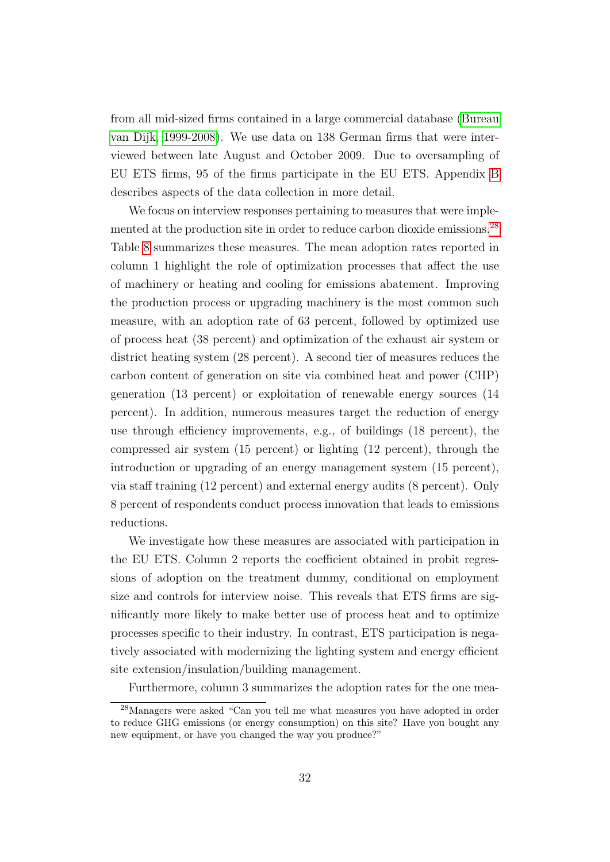from all mid-sized firms contained in a large commercial database [\(Bureau](#page-34-1) [van Dijk, 1999-2008\)](#page-34-1). We use data on 138 German firms that were interviewed between late August and October 2009. Due to oversampling of EU ETS firms, 95 of the firms participate in the EU ETS. Appendix [B](#page-41-0) describes aspects of the data collection in more detail.

We focus on interview responses pertaining to measures that were imple-mented at the production site in order to reduce carbon dioxide emissions.<sup>[28](#page-31-0)</sup> Table [8](#page-32-0) summarizes these measures. The mean adoption rates reported in column 1 highlight the role of optimization processes that affect the use of machinery or heating and cooling for emissions abatement. Improving the production process or upgrading machinery is the most common such measure, with an adoption rate of 63 percent, followed by optimized use of process heat (38 percent) and optimization of the exhaust air system or district heating system (28 percent). A second tier of measures reduces the carbon content of generation on site via combined heat and power (CHP) generation (13 percent) or exploitation of renewable energy sources (14 percent). In addition, numerous measures target the reduction of energy use through efficiency improvements, e.g., of buildings (18 percent), the compressed air system (15 percent) or lighting (12 percent), through the introduction or upgrading of an energy management system (15 percent), via staff training (12 percent) and external energy audits (8 percent). Only 8 percent of respondents conduct process innovation that leads to emissions reductions.

We investigate how these measures are associated with participation in the EU ETS. Column 2 reports the coefficient obtained in probit regressions of adoption on the treatment dummy, conditional on employment size and controls for interview noise. This reveals that ETS firms are significantly more likely to make better use of process heat and to optimize processes specific to their industry. In contrast, ETS participation is negatively associated with modernizing the lighting system and energy efficient site extension/insulation/building management.

<span id="page-31-0"></span>Furthermore, column 3 summarizes the adoption rates for the one mea-

<sup>28</sup>Managers were asked "Can you tell me what measures you have adopted in order to reduce GHG emissions (or energy consumption) on this site? Have you bought any new equipment, or have you changed the way you produce?"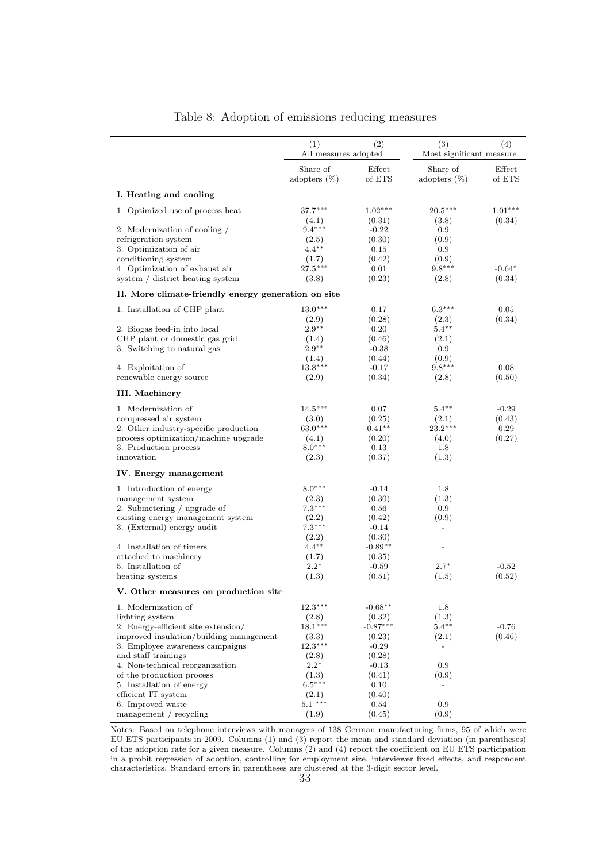<span id="page-32-0"></span>

|                                                        | (1)<br>All measures adopted | (2)                 | (3)<br>Most significant measure | (4)                 |
|--------------------------------------------------------|-----------------------------|---------------------|---------------------------------|---------------------|
|                                                        | Share of<br>adopters $(\%)$ | Effect<br>of ETS    | Share of<br>adopters $(\%)$     | Effect<br>of ETS    |
| I. Heating and cooling                                 |                             |                     |                                 |                     |
|                                                        |                             |                     |                                 |                     |
| 1. Optimized use of process heat                       | $37.7***$<br>(4.1)          | $1.02***$<br>(0.31) | $20.5***$<br>(3.8)              | $1.01***$<br>(0.34) |
| 2. Modernization of cooling /                          | $9.4***$                    | $-0.22$             | $0.9\,$                         |                     |
| refrigeration system                                   | (2.5)                       | (0.30)              | (0.9)                           |                     |
| 3. Optimization of air                                 | $4.4***$                    | 0.15                | $0.9\,$                         |                     |
| conditioning system                                    | (1.7)                       | (0.42)              | (0.9)                           |                     |
| 4. Optimization of exhaust air                         | $27.5***$                   | 0.01                | $9.8***$                        | $-0.64*$            |
| system / district heating system                       | (3.8)                       | (0.23)              | (2.8)                           | (0.34)              |
| II. More climate-friendly energy generation on site    |                             |                     |                                 |                     |
| 1. Installation of CHP plant                           | $13.0***$                   | 0.17                | $6.3***$                        | 0.05                |
|                                                        | (2.9)                       | (0.28)              | (2.3)                           | (0.34)              |
| 2. Biogas feed-in into local                           | $2.9***$                    | 0.20                | $5.4***$                        |                     |
| CHP plant or domestic gas grid                         | (1.4)                       | (0.46)              | (2.1)                           |                     |
| 3. Switching to natural gas                            | $2.9**$                     | $-0.38$             | $0.9\,$                         |                     |
|                                                        | (1.4)                       | (0.44)              | (0.9)                           |                     |
| 4. Exploitation of                                     | $13.8***$                   | $-0.17$             | $9.8***$                        | 0.08                |
| renewable energy source                                | (2.9)                       | (0.34)              | (2.8)                           | (0.50)              |
| <b>III.</b> Machinery                                  |                             |                     |                                 |                     |
| 1. Modernization of                                    | $14.5***$                   | 0.07                | $5.4***$                        | $-0.29$             |
| compressed air system                                  | (3.0)                       | (0.25)              | (2.1)                           | (0.43)              |
| 2. Other industry-specific production                  | $63.0***$                   | $0.41**$            | $23.2***$                       | 0.29                |
| process optimization/machine upgrade                   | (4.1)                       | (0.20)              | (4.0)                           | (0.27)              |
| 3. Production process                                  | $8.0***$                    | 0.13                | 1.8                             |                     |
| innovation                                             | (2.3)                       | (0.37)              | (1.3)                           |                     |
| IV. Energy management                                  |                             |                     |                                 |                     |
| 1. Introduction of energy                              | $8.0***$                    | $-0.14$             | 1.8                             |                     |
| management system                                      | (2.3)                       | (0.30)              | (1.3)                           |                     |
| 2. Submetering / upgrade of                            | $7.3***$                    | 0.56                | $0.9\,$                         |                     |
| existing energy management system                      | (2.2)                       | (0.42)              | (0.9)                           |                     |
| 3. (External) energy audit                             | $7.3***$                    | $-0.14$             | $\overline{a}$                  |                     |
|                                                        | (2.2)                       | (0.30)              |                                 |                     |
| 4. Installation of timers                              | $4.4***$                    | $-0.89**$           | $\overline{a}$                  |                     |
| attached to machinery                                  | (1.7)                       | (0.35)              |                                 |                     |
| 5. Installation of                                     | $2.2*$                      | $-0.59$             | $2.7*$                          | $-0.52$             |
| heating systems                                        | (1.3)                       | (0.51)              | (1.5)                           | (0.52)              |
| V. Other measures on production site                   |                             |                     |                                 |                     |
| 1. Modernization of                                    | $12.3***$                   | $-0.68**$           | $1.8\,$                         |                     |
| lighting system                                        | (2.8)                       | (0.32)              | (1.3)                           |                     |
| 2. Energy-efficient site extension/                    | $18.1***$                   | $-0.87***$          | $5.4***$                        | $-0.76$             |
| improved insulation/building management                | (3.3)<br>$12.3***$          | (0.23)              | (2.1)                           | (0.46)              |
| 3. Employee awareness campaigns                        |                             | $-0.29$             |                                 |                     |
| and staff trainings<br>4. Non-technical reorganization | (2.8)<br>$2.2*$             | (0.28)              | $0.9\,$                         |                     |
| of the production process                              | (1.3)                       | $-0.13$<br>(0.41)   | (0.9)                           |                     |
| 5. Installation of energy                              | $6.5***$                    | 0.10                | $\overline{\phantom{a}}$        |                     |
| efficient IT system                                    | (2.1)                       | (0.40)              |                                 |                     |
| 6. Improved waste                                      | $5.1***$                    | 0.54                | $0.9\,$                         |                     |
| management / recycling                                 | (1.9)                       | (0.45)              | (0.9)                           |                     |

#### Table 8: Adoption of emissions reducing measures

Notes: Based on telephone interviews with managers of 138 German manufacturing firms, 95 of which were EU ETS participants in 2009. Columns (1) and (3) report the mean and standard deviation (in parentheses) of the adoption rate for a given measure. Columns (2) and (4) report the coefficient on EU ETS participation in a probit regression of adoption, controlling for employment size, interviewer fixed effects, and respondent characteristics. Standard errors in parentheses are clustered at the 3-digit sector level.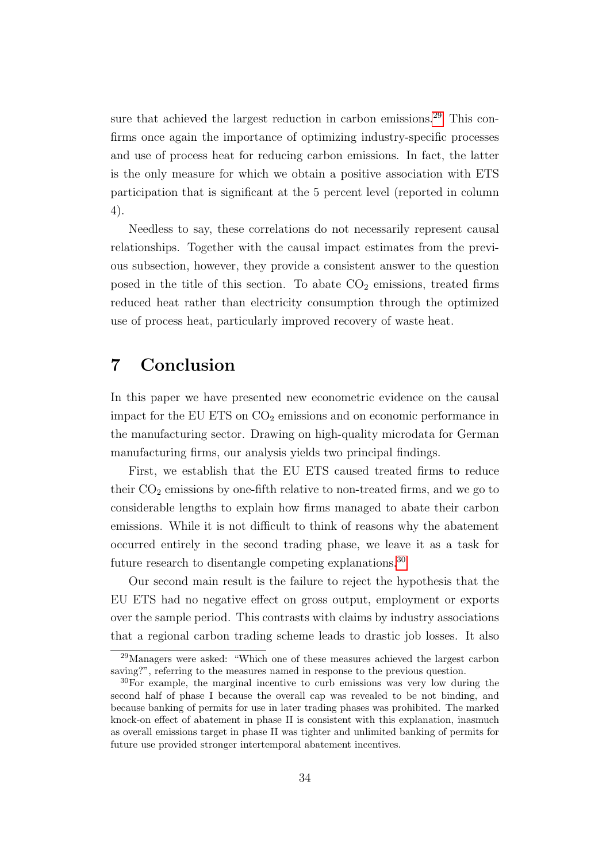sure that achieved the largest reduction in carbon emissions.<sup>[29](#page-33-1)</sup> This confirms once again the importance of optimizing industry-specific processes and use of process heat for reducing carbon emissions. In fact, the latter is the only measure for which we obtain a positive association with ETS participation that is significant at the 5 percent level (reported in column 4).

Needless to say, these correlations do not necessarily represent causal relationships. Together with the causal impact estimates from the previous subsection, however, they provide a consistent answer to the question posed in the title of this section. To abate  $CO<sub>2</sub>$  emissions, treated firms reduced heat rather than electricity consumption through the optimized use of process heat, particularly improved recovery of waste heat.

## <span id="page-33-0"></span>7 Conclusion

In this paper we have presented new econometric evidence on the causal impact for the EU ETS on  $CO<sub>2</sub>$  emissions and on economic performance in the manufacturing sector. Drawing on high-quality microdata for German manufacturing firms, our analysis yields two principal findings.

First, we establish that the EU ETS caused treated firms to reduce their  $CO<sub>2</sub>$  emissions by one-fifth relative to non-treated firms, and we go to considerable lengths to explain how firms managed to abate their carbon emissions. While it is not difficult to think of reasons why the abatement occurred entirely in the second trading phase, we leave it as a task for future research to disentangle competing explanations.<sup>[30](#page-33-2)</sup>

Our second main result is the failure to reject the hypothesis that the EU ETS had no negative effect on gross output, employment or exports over the sample period. This contrasts with claims by industry associations that a regional carbon trading scheme leads to drastic job losses. It also

<span id="page-33-1"></span><sup>29</sup>Managers were asked: "Which one of these measures achieved the largest carbon saving?", referring to the measures named in response to the previous question.

<span id="page-33-2"></span><sup>30</sup>For example, the marginal incentive to curb emissions was very low during the second half of phase I because the overall cap was revealed to be not binding, and because banking of permits for use in later trading phases was prohibited. The marked knock-on effect of abatement in phase II is consistent with this explanation, inasmuch as overall emissions target in phase II was tighter and unlimited banking of permits for future use provided stronger intertemporal abatement incentives.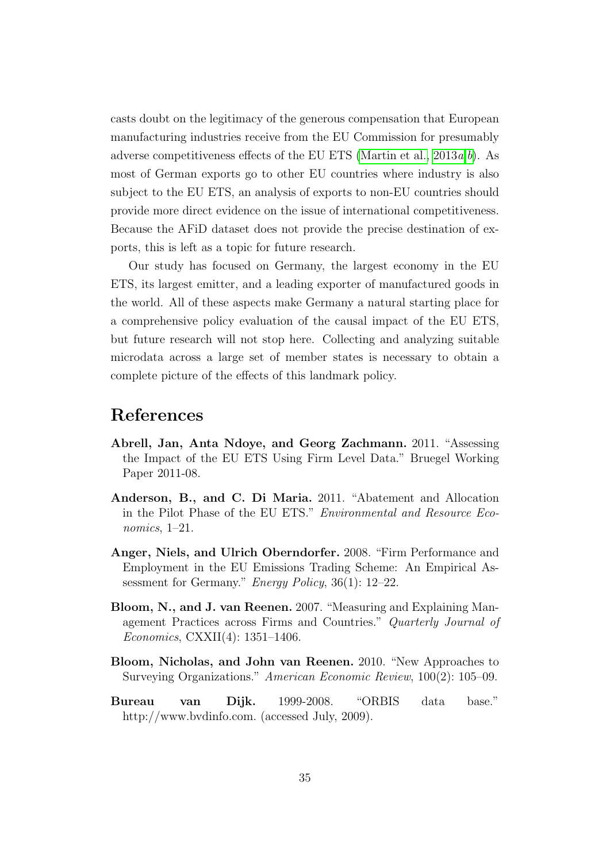casts doubt on the legitimacy of the generous compensation that European manufacturing industries receive from the EU Commission for presumably adverse competitiveness effects of the EU ETS (Martin et al.,  $2013a, b$  $2013a, b$ ). As most of German exports go to other EU countries where industry is also subject to the EU ETS, an analysis of exports to non-EU countries should provide more direct evidence on the issue of international competitiveness. Because the AFiD dataset does not provide the precise destination of exports, this is left as a topic for future research.

Our study has focused on Germany, the largest economy in the EU ETS, its largest emitter, and a leading exporter of manufactured goods in the world. All of these aspects make Germany a natural starting place for a comprehensive policy evaluation of the causal impact of the EU ETS, but future research will not stop here. Collecting and analyzing suitable microdata across a large set of member states is necessary to obtain a complete picture of the effects of this landmark policy.

## References

- <span id="page-34-3"></span>Abrell, Jan, Anta Ndoye, and Georg Zachmann. 2011. "Assessing the Impact of the EU ETS Using Firm Level Data." Bruegel Working Paper 2011-08.
- <span id="page-34-0"></span>Anderson, B., and C. Di Maria. 2011. "Abatement and Allocation in the Pilot Phase of the EU ETS." Environmental and Resource Economics, 1–21.
- <span id="page-34-2"></span>Anger, Niels, and Ulrich Oberndorfer. 2008. "Firm Performance and Employment in the EU Emissions Trading Scheme: An Empirical Assessment for Germany." Energy Policy, 36(1): 12–22.
- <span id="page-34-4"></span>Bloom, N., and J. van Reenen. 2007. "Measuring and Explaining Management Practices across Firms and Countries." Quarterly Journal of Economics, CXXII(4): 1351–1406.
- <span id="page-34-5"></span>Bloom, Nicholas, and John van Reenen. 2010. "New Approaches to Surveying Organizations." American Economic Review, 100(2): 105–09.
- <span id="page-34-1"></span>Bureau van Dijk. 1999-2008. "ORBIS data base." http://www.bvdinfo.com. (accessed July, 2009).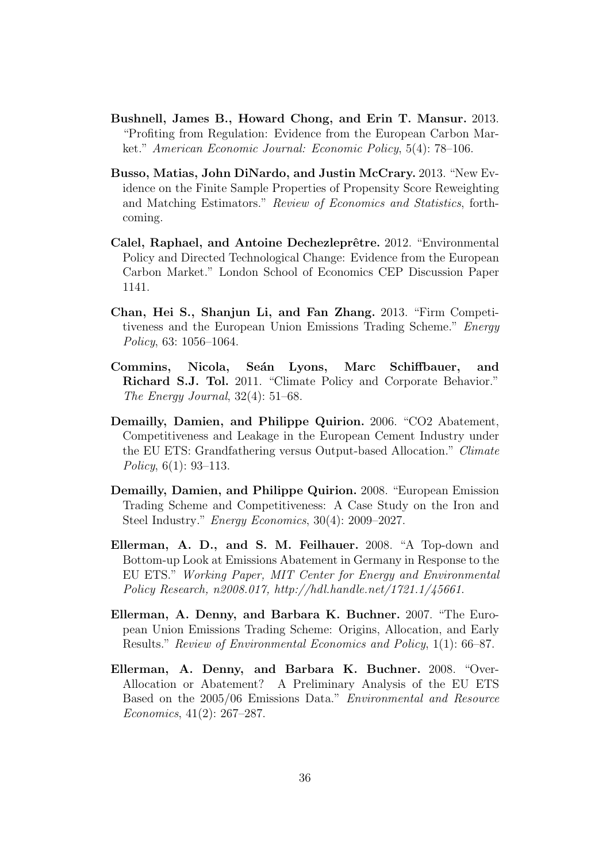- <span id="page-35-7"></span>Bushnell, James B., Howard Chong, and Erin T. Mansur. 2013. "Profiting from Regulation: Evidence from the European Carbon Market." American Economic Journal: Economic Policy, 5(4): 78–106.
- <span id="page-35-9"></span>Busso, Matias, John DiNardo, and Justin McCrary. 2013. "New Evidence on the Finite Sample Properties of Propensity Score Reweighting and Matching Estimators." Review of Economics and Statistics, forthcoming.
- <span id="page-35-8"></span>Calel, Raphael, and Antoine Dechezleprêtre. 2012. "Environmental Policy and Directed Technological Change: Evidence from the European Carbon Market." London School of Economics CEP Discussion Paper 1141.
- <span id="page-35-6"></span>Chan, Hei S., Shanjun Li, and Fan Zhang. 2013. "Firm Competitiveness and the European Union Emissions Trading Scheme." Energy Policy, 63: 1056–1064.
- <span id="page-35-5"></span>Commins, Nicola, Seán Lyons, Marc Schiffbauer, and Richard S.J. Tol. 2011. "Climate Policy and Corporate Behavior." The Energy Journal, 32(4): 51–68.
- <span id="page-35-1"></span>Demailly, Damien, and Philippe Quirion. 2006. "CO2 Abatement, Competitiveness and Leakage in the European Cement Industry under the EU ETS: Grandfathering versus Output-based Allocation." Climate Policy, 6(1): 93–113.
- <span id="page-35-0"></span>Demailly, Damien, and Philippe Quirion. 2008. "European Emission Trading Scheme and Competitiveness: A Case Study on the Iron and Steel Industry." Energy Economics, 30(4): 2009–2027.
- <span id="page-35-4"></span>Ellerman, A. D., and S. M. Feilhauer. 2008. "A Top-down and Bottom-up Look at Emissions Abatement in Germany in Response to the EU ETS." Working Paper, MIT Center for Energy and Environmental Policy Research, n2008.017, http://hdl.handle.net/1721.1/45661.
- <span id="page-35-2"></span>Ellerman, A. Denny, and Barbara K. Buchner. 2007. "The European Union Emissions Trading Scheme: Origins, Allocation, and Early Results." Review of Environmental Economics and Policy, 1(1): 66–87.
- <span id="page-35-3"></span>Ellerman, A. Denny, and Barbara K. Buchner. 2008. "Over-Allocation or Abatement? A Preliminary Analysis of the EU ETS Based on the 2005/06 Emissions Data." Environmental and Resource Economics, 41(2): 267–287.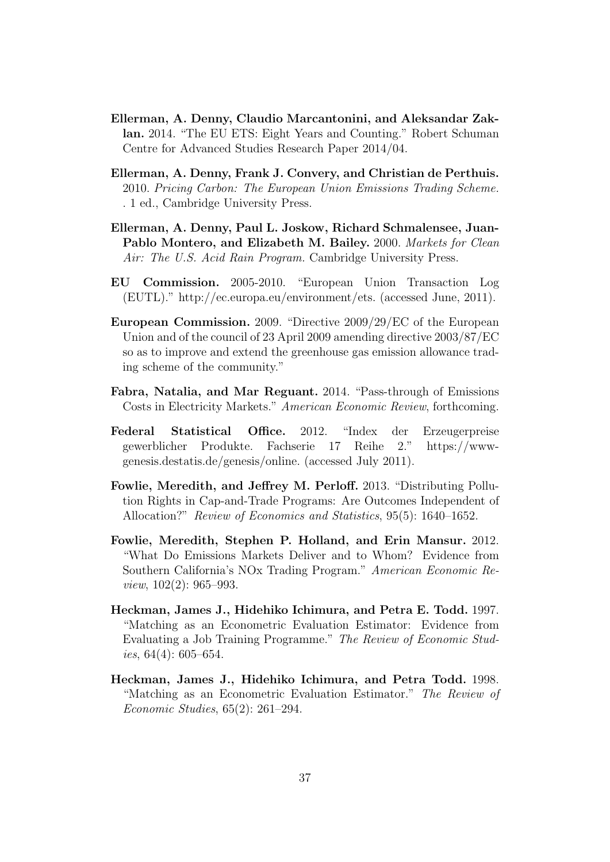- <span id="page-36-3"></span>Ellerman, A. Denny, Claudio Marcantonini, and Aleksandar Zaklan. 2014. "The EU ETS: Eight Years and Counting." Robert Schuman Centre for Advanced Studies Research Paper 2014/04.
- <span id="page-36-4"></span>Ellerman, A. Denny, Frank J. Convery, and Christian de Perthuis. 2010. Pricing Carbon: The European Union Emissions Trading Scheme. . 1 ed., Cambridge University Press.
- <span id="page-36-0"></span>Ellerman, A. Denny, Paul L. Joskow, Richard Schmalensee, Juan-Pablo Montero, and Elizabeth M. Bailey. 2000. Markets for Clean Air: The U.S. Acid Rain Program. Cambridge University Press.
- EU Commission. 2005-2010. "European Union Transaction Log (EUTL)." http://ec.europa.eu/environment/ets. (accessed June, 2011).
- <span id="page-36-8"></span>European Commission. 2009. "Directive 2009/29/EC of the European Union and of the council of 23 April 2009 amending directive 2003/87/EC so as to improve and extend the greenhouse gas emission allowance trading scheme of the community."
- <span id="page-36-5"></span>Fabra, Natalia, and Mar Reguant. 2014. "Pass-through of Emissions Costs in Electricity Markets." American Economic Review, forthcoming.
- Federal Statistical Office. 2012. "Index der Erzeugerpreise gewerblicher Produkte. Fachserie 17 Reihe 2." https://wwwgenesis.destatis.de/genesis/online. (accessed July 2011).
- <span id="page-36-2"></span>Fowlie, Meredith, and Jeffrey M. Perloff. 2013. "Distributing Pollution Rights in Cap-and-Trade Programs: Are Outcomes Independent of Allocation?" Review of Economics and Statistics, 95(5): 1640–1652.
- <span id="page-36-1"></span>Fowlie, Meredith, Stephen P. Holland, and Erin Mansur. 2012. "What Do Emissions Markets Deliver and to Whom? Evidence from Southern California's NOx Trading Program." American Economic Review, 102(2): 965–993.
- <span id="page-36-6"></span>Heckman, James J., Hidehiko Ichimura, and Petra E. Todd. 1997. "Matching as an Econometric Evaluation Estimator: Evidence from Evaluating a Job Training Programme." The Review of Economic Studies,  $64(4)$ : 605–654.
- <span id="page-36-7"></span>Heckman, James J., Hidehiko Ichimura, and Petra Todd. 1998. "Matching as an Econometric Evaluation Estimator." The Review of Economic Studies, 65(2): 261–294.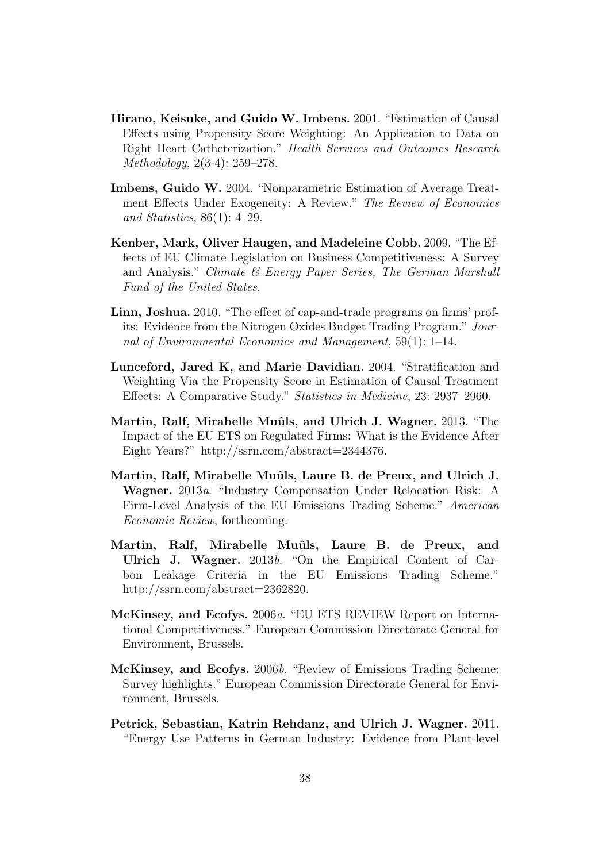- <span id="page-37-6"></span>Hirano, Keisuke, and Guido W. Imbens. 2001. "Estimation of Causal Effects using Propensity Score Weighting: An Application to Data on Right Heart Catheterization." Health Services and Outcomes Research Methodology, 2(3-4): 259–278.
- <span id="page-37-7"></span>Imbens, Guido W. 2004. "Nonparametric Estimation of Average Treatment Effects Under Exogeneity: A Review." The Review of Economics and Statistics, 86(1): 4–29.
- <span id="page-37-3"></span>Kenber, Mark, Oliver Haugen, and Madeleine Cobb. 2009. "The Effects of EU Climate Legislation on Business Competitiveness: A Survey and Analysis." Climate  $\mathcal C$  Energy Paper Series, The German Marshall Fund of the United States.
- <span id="page-37-5"></span>Linn, Joshua. 2010. "The effect of cap-and-trade programs on firms' profits: Evidence from the Nitrogen Oxides Budget Trading Program." Journal of Environmental Economics and Management, 59(1): 1–14.
- <span id="page-37-8"></span>Lunceford, Jared K, and Marie Davidian. 2004. "Stratification and Weighting Via the Propensity Score in Estimation of Causal Treatment Effects: A Comparative Study." Statistics in Medicine, 23: 2937–2960.
- <span id="page-37-0"></span>Martin, Ralf, Mirabelle Muûls, and Ulrich J. Wagner. 2013. "The Impact of the EU ETS on Regulated Firms: What is the Evidence After Eight Years?" http://ssrn.com/abstract=2344376.
- <span id="page-37-4"></span>Martin, Ralf, Mirabelle Muûls, Laure B. de Preux, and Ulrich J. Wagner. 2013a. "Industry Compensation Under Relocation Risk: A Firm-Level Analysis of the EU Emissions Trading Scheme." American Economic Review, forthcoming.
- <span id="page-37-10"></span>Martin, Ralf, Mirabelle Muûls, Laure B. de Preux, and Ulrich J. Wagner. 2013b. "On the Empirical Content of Carbon Leakage Criteria in the EU Emissions Trading Scheme." http://ssrn.com/abstract=2362820.
- <span id="page-37-1"></span>McKinsey, and Ecofys. 2006a. "EU ETS REVIEW Report on International Competitiveness." European Commission Directorate General for Environment, Brussels.
- <span id="page-37-2"></span>McKinsey, and Ecofys. 2006b. "Review of Emissions Trading Scheme: Survey highlights." European Commission Directorate General for Environment, Brussels.
- <span id="page-37-9"></span>Petrick, Sebastian, Katrin Rehdanz, and Ulrich J. Wagner. 2011. "Energy Use Patterns in German Industry: Evidence from Plant-level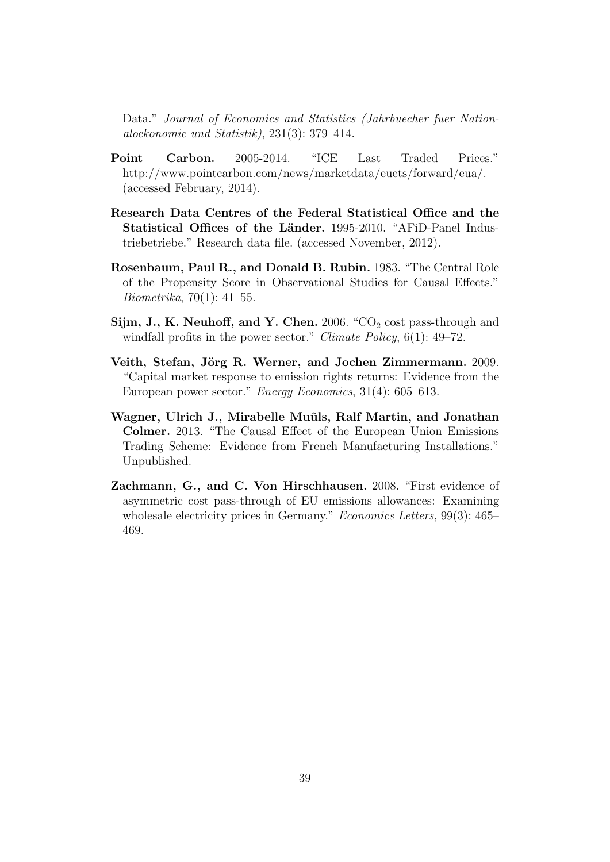Data." Journal of Economics and Statistics (Jahrbuecher fuer Nationaloekonomie und Statistik), 231(3): 379–414.

- <span id="page-38-5"></span>Point Carbon. 2005-2014. "ICE Last Traded Prices." http://www.pointcarbon.com/news/marketdata/euets/forward/eua/. (accessed February, 2014).
- Research Data Centres of the Federal Statistical Office and the Statistical Offices of the Länder. 1995-2010. "AFiD-Panel Industriebetriebe." Research data file. (accessed November, 2012).
- <span id="page-38-4"></span>Rosenbaum, Paul R., and Donald B. Rubin. 1983. "The Central Role of the Propensity Score in Observational Studies for Causal Effects." Biometrika, 70(1): 41–55.
- <span id="page-38-2"></span>Sijm, J., K. Neuhoff, and Y. Chen. 2006. "CO<sub>2</sub> cost pass-through and windfall profits in the power sector." *Climate Policy*,  $6(1)$ : 49–72.
- <span id="page-38-0"></span>Veith, Stefan, Jörg R. Werner, and Jochen Zimmermann. 2009. "Capital market response to emission rights returns: Evidence from the European power sector." Energy Economics, 31(4): 605–613.
- <span id="page-38-1"></span>Wagner, Ulrich J., Mirabelle Muûls, Ralf Martin, and Jonathan Colmer. 2013. "The Causal Effect of the European Union Emissions Trading Scheme: Evidence from French Manufacturing Installations." Unpublished.
- <span id="page-38-3"></span>Zachmann, G., and C. Von Hirschhausen. 2008. "First evidence of asymmetric cost pass-through of EU emissions allowances: Examining wholesale electricity prices in Germany." Economics Letters, 99(3): 465– 469.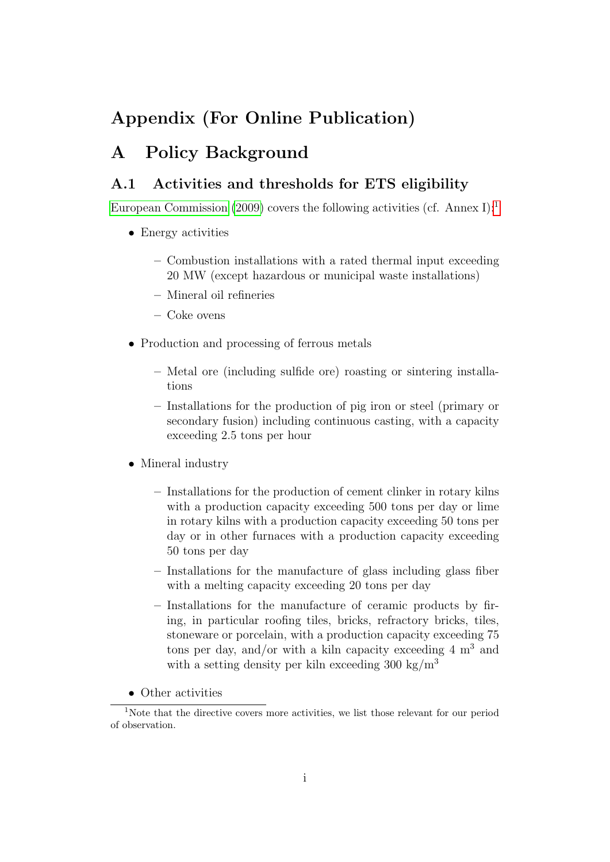## Appendix (For Online Publication)

## A Policy Background

### <span id="page-39-0"></span>A.1 Activities and thresholds for ETS eligibility

[European Commission](#page-36-8) [\(2009\)](#page-36-8) covers the following activities (cf. Annex I):<sup>[1](#page-39-1)</sup>

- Energy activities
	- Combustion installations with a rated thermal input exceeding 20 MW (except hazardous or municipal waste installations)
	- Mineral oil refineries
	- Coke ovens
- Production and processing of ferrous metals
	- Metal ore (including sulfide ore) roasting or sintering installations
	- Installations for the production of pig iron or steel (primary or secondary fusion) including continuous casting, with a capacity exceeding 2.5 tons per hour
- Mineral industry
	- Installations for the production of cement clinker in rotary kilns with a production capacity exceeding 500 tons per day or lime in rotary kilns with a production capacity exceeding 50 tons per day or in other furnaces with a production capacity exceeding 50 tons per day
	- Installations for the manufacture of glass including glass fiber with a melting capacity exceeding 20 tons per day
	- Installations for the manufacture of ceramic products by firing, in particular roofing tiles, bricks, refractory bricks, tiles, stoneware or porcelain, with a production capacity exceeding 75 tons per day, and/or with a kiln capacity exceeding  $4 \text{ m}^3$  and with a setting density per kiln exceeding 300 kg/ $\rm m^3$
- <span id="page-39-1"></span>• Other activities

<sup>&</sup>lt;sup>1</sup>Note that the directive covers more activities, we list those relevant for our period of observation.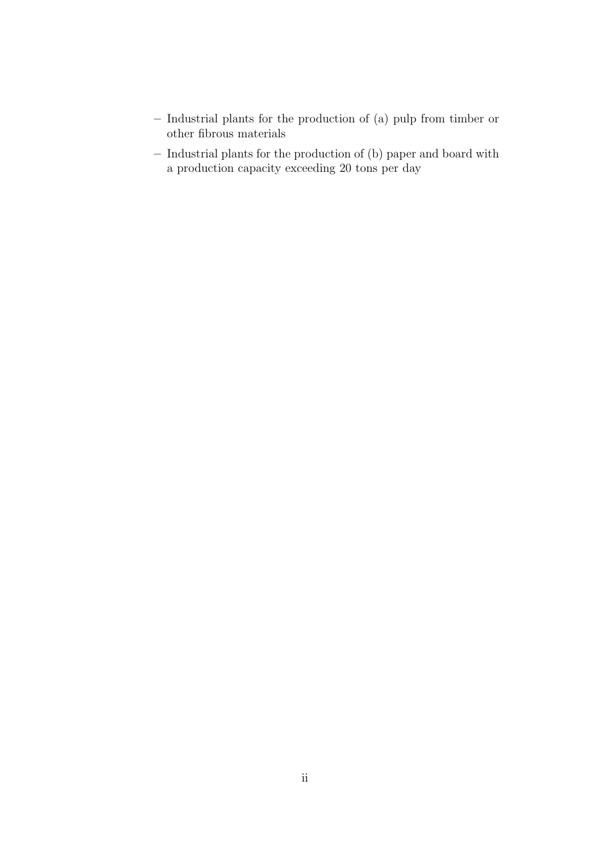- Industrial plants for the production of (a) pulp from timber or other fibrous materials
- Industrial plants for the production of (b) paper and board with a production capacity exceeding 20 tons per day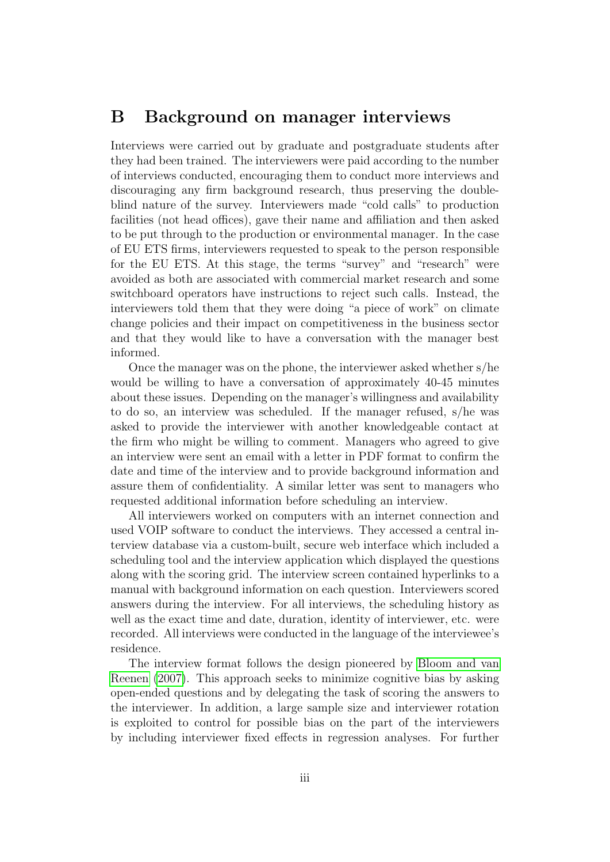## <span id="page-41-0"></span>B Background on manager interviews

Interviews were carried out by graduate and postgraduate students after they had been trained. The interviewers were paid according to the number of interviews conducted, encouraging them to conduct more interviews and discouraging any firm background research, thus preserving the doubleblind nature of the survey. Interviewers made "cold calls" to production facilities (not head offices), gave their name and affiliation and then asked to be put through to the production or environmental manager. In the case of EU ETS firms, interviewers requested to speak to the person responsible for the EU ETS. At this stage, the terms "survey" and "research" were avoided as both are associated with commercial market research and some switchboard operators have instructions to reject such calls. Instead, the interviewers told them that they were doing "a piece of work" on climate change policies and their impact on competitiveness in the business sector and that they would like to have a conversation with the manager best informed.

Once the manager was on the phone, the interviewer asked whether s/he would be willing to have a conversation of approximately 40-45 minutes about these issues. Depending on the manager's willingness and availability to do so, an interview was scheduled. If the manager refused, s/he was asked to provide the interviewer with another knowledgeable contact at the firm who might be willing to comment. Managers who agreed to give an interview were sent an email with a letter in PDF format to confirm the date and time of the interview and to provide background information and assure them of confidentiality. A similar letter was sent to managers who requested additional information before scheduling an interview.

All interviewers worked on computers with an internet connection and used VOIP software to conduct the interviews. They accessed a central interview database via a custom-built, secure web interface which included a scheduling tool and the interview application which displayed the questions along with the scoring grid. The interview screen contained hyperlinks to a manual with background information on each question. Interviewers scored answers during the interview. For all interviews, the scheduling history as well as the exact time and date, duration, identity of interviewer, etc. were recorded. All interviews were conducted in the language of the interviewee's residence.

The interview format follows the design pioneered by [Bloom and van](#page-34-4) [Reenen](#page-34-4) [\(2007\)](#page-34-4). This approach seeks to minimize cognitive bias by asking open-ended questions and by delegating the task of scoring the answers to the interviewer. In addition, a large sample size and interviewer rotation is exploited to control for possible bias on the part of the interviewers by including interviewer fixed effects in regression analyses. For further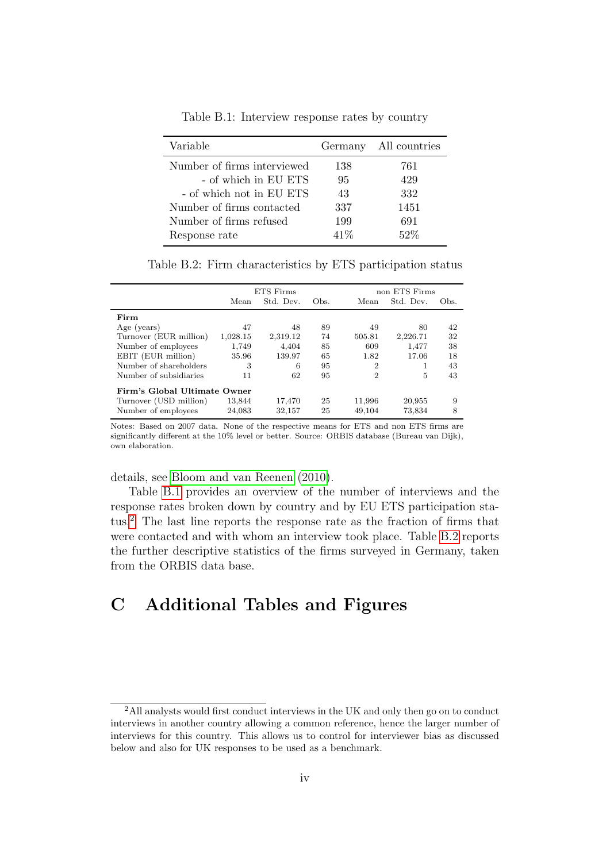<span id="page-42-0"></span>

| Variable                    |      | Germany All countries |
|-----------------------------|------|-----------------------|
| Number of firms interviewed | 138  | 761                   |
| - of which in EU ETS        | 95   | 429                   |
| - of which not in EU ETS    | 43   | 332                   |
| Number of firms contacted   | 337  | 1451                  |
| Number of firms refused     | 199  | 691                   |
| Response rate               | 41\% | $52\%$                |

Table B.1: Interview response rates by country

Table B.2: Firm characteristics by ETS participation status

<span id="page-42-2"></span>

|                              |          | <b>ETS</b> Firms |      | non ETS Firms |           |      |  |  |
|------------------------------|----------|------------------|------|---------------|-----------|------|--|--|
|                              | Mean     | Std. Dev.        | Obs. | Mean          | Std. Dev. | Obs. |  |  |
| Firm                         |          |                  |      |               |           |      |  |  |
| Age (years)                  | 47       | 48               | 89   | 49            | 80        | 42   |  |  |
| Turnover (EUR million)       | 1,028.15 | 2,319.12         | 74   | 505.81        | 2,226.71  | 32   |  |  |
| Number of employees          | 1,749    | 4.404            | 85   | 609           | 1.477     | 38   |  |  |
| EBIT (EUR million)           | 35.96    | 139.97           | 65   | 1.82          | 17.06     | 18   |  |  |
| Number of shareholders       | 3        | 6                | 95   | 2             | 1         | 43   |  |  |
| Number of subsidiaries       | 11       | 62               | 95   | 2             | 5         | 43   |  |  |
| Firm's Global Ultimate Owner |          |                  |      |               |           |      |  |  |
| Turnover (USD million)       | 13,844   | 17,470           | 25   | 11,996        | 20,955    | 9    |  |  |
| Number of employees          | 24,083   | 32,157           | 25   | 49,104        | 73,834    | 8    |  |  |

Notes: Based on 2007 data. None of the respective means for ETS and non ETS firms are significantly different at the 10% level or better. Source: ORBIS database (Bureau van Dijk), own elaboration.

details, see [Bloom and van Reenen](#page-34-5) [\(2010\)](#page-34-5).

Table [B.1](#page-42-0) provides an overview of the number of interviews and the response rates broken down by country and by EU ETS participation status.[2](#page-42-1) The last line reports the response rate as the fraction of firms that were contacted and with whom an interview took place. Table [B.2](#page-42-2) reports the further descriptive statistics of the firms surveyed in Germany, taken from the ORBIS data base.

# C Additional Tables and Figures

<span id="page-42-1"></span><sup>2</sup>All analysts would first conduct interviews in the UK and only then go on to conduct interviews in another country allowing a common reference, hence the larger number of interviews for this country. This allows us to control for interviewer bias as discussed below and also for UK responses to be used as a benchmark.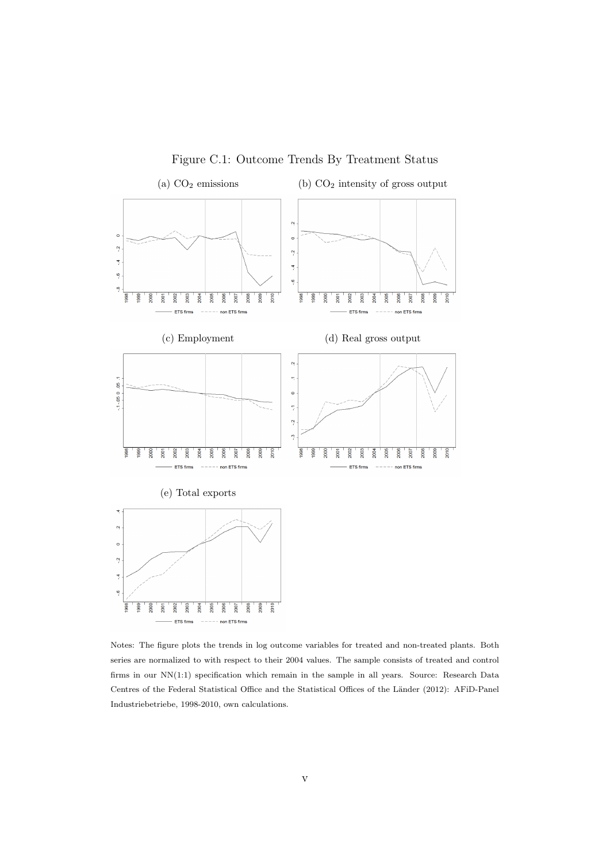<span id="page-43-0"></span>

Figure C.1: Outcome Trends By Treatment Status

Notes: The figure plots the trends in log outcome variables for treated and non-treated plants. Both series are normalized to with respect to their 2004 values. The sample consists of treated and control firms in our NN(1:1) specification which remain in the sample in all years. Source: Research Data Centres of the Federal Statistical Office and the Statistical Offices of the Länder (2012): AFiD-Panel Industriebetriebe, 1998-2010, own calculations.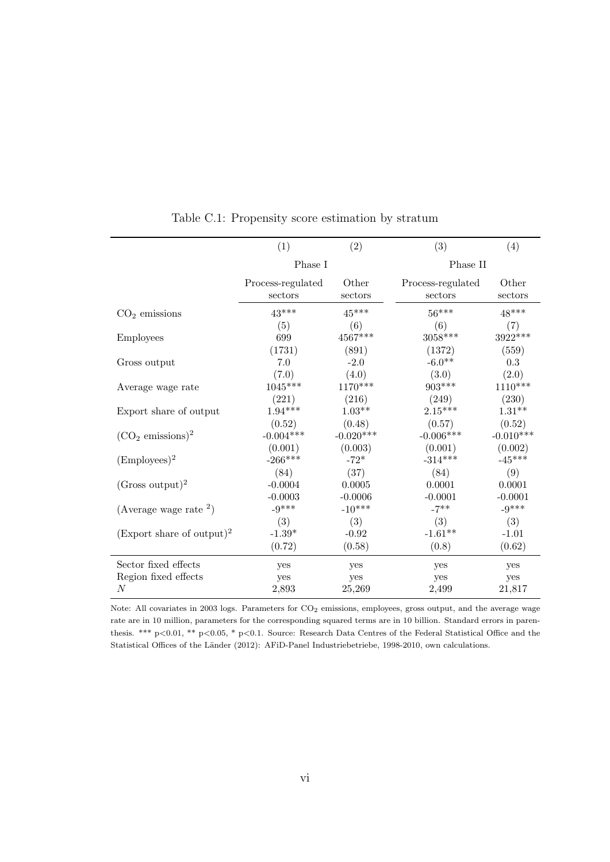<span id="page-44-0"></span>

|                                       | (1)               | (2)         | (3)               | (4)         |
|---------------------------------------|-------------------|-------------|-------------------|-------------|
|                                       | Phase I           |             | Phase II          |             |
|                                       | Process-regulated | Other       | Process-regulated | Other       |
|                                       | sectors           | sectors     | sectors           | sectors     |
| $CO2$ emissions                       | $43***$           | $45***$     | $56***$           | $48***$     |
| Employees                             | (5)               | (6)         | (6)               | (7)         |
|                                       | 699               | 4567***     | $3058***$         | 3922***     |
| Gross output                          | (1731)            | (891)       | (1372)            | (559)       |
|                                       | 7.0               | $-2.0$      | $-6.0**$          | 0.3         |
| Average wage rate                     | (7.0)             | (4.0)       | (3.0)             | (2.0)       |
|                                       | $1045***$         | 1170***     | 903***            | $1110***$   |
| Export share of output                | (221)             | (216)       | (249)             | (230)       |
|                                       | $1.94***$         | $1.03**$    | $2.15***$         | $1.31**$    |
| $({\rm CO}_2 \text{ emissions})^2$    | (0.52)            | (0.48)      | (0.57)            | (0.52)      |
|                                       | $-0.004***$       | $-0.020***$ | $-0.006***$       | $-0.010***$ |
| $(\text{Employee})^2$                 | (0.001)           | (0.003)     | (0.001)           | (0.002)     |
|                                       | $-266***$         | $-72*$      | $-314***$         | $-45***$    |
| $(Gross output)^2$                    | (84)              | (37)        | (84)              | (9)         |
|                                       | $-0.0004$         | 0.0005      | 0.0001            | 0.0001      |
| (Average wage rate $^{2}$ )           | $-0.0003$         | $-0.0006$   | $-0.0001$         | $-0.0001$   |
|                                       | $-9***$           | $-10***$    | $-7$ **           | $-9***$     |
| (Export share of output) <sup>2</sup> | (3)               | (3)         | (3)               | (3)         |
|                                       | $-1.39*$          | $-0.92$     | $-1.61**$         | $-1.01$     |
|                                       | (0.72)            | (0.58)      | (0.8)             | (0.62)      |
| Sector fixed effects                  | yes               | yes         | yes               | yes         |
| Region fixed effects                  | yes               | yes         | yes               | yes         |
| $\overline{N}$                        | 2,893             | 25,269      | 2,499             | 21,817      |

Table C.1: Propensity score estimation by stratum

Note: All covariates in 2003 logs. Parameters for  $CO<sub>2</sub>$  emissions, employees, gross output, and the average wage rate are in 10 million, parameters for the corresponding squared terms are in 10 billion. Standard errors in parenthesis. \*\*\* p<0.01, \*\* p<0.05, \* p<0.1. Source: Research Data Centres of the Federal Statistical Office and the Statistical Offices of the Länder (2012): AFiD-Panel Industriebetriebe, 1998-2010, own calculations.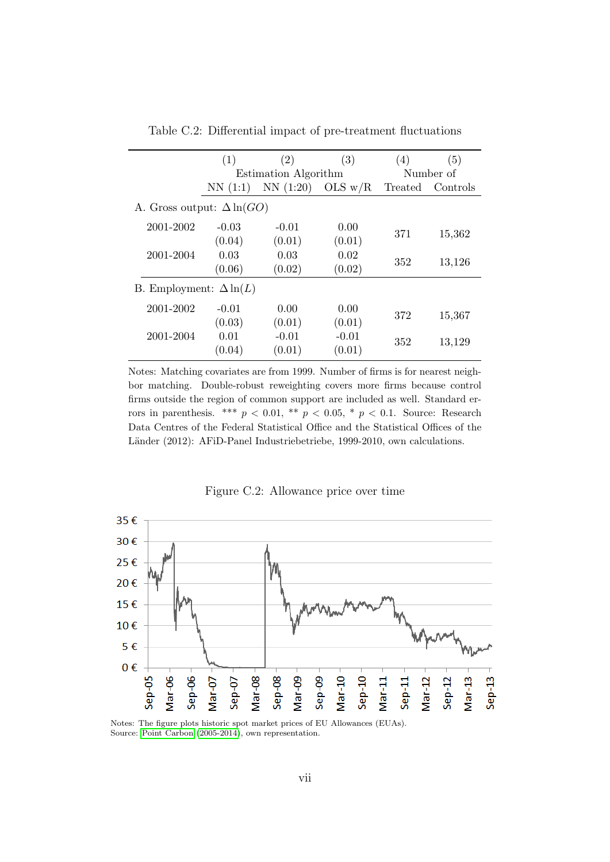<span id="page-45-0"></span>

|                                   | (1)     | (2)                  | (3)       | (4)     | (5)       |
|-----------------------------------|---------|----------------------|-----------|---------|-----------|
|                                   |         | Estimation Algorithm |           |         | Number of |
|                                   | NN(1:1) | NN(1:20)             | OLS $w/R$ | Treated | Controls  |
| A. Gross output: $\Delta \ln(GO)$ |         |                      |           |         |           |
| 2001-2002                         | $-0.03$ | $-0.01$              | 0.00      |         |           |
|                                   | (0.04)  | (0.01)               | (0.01)    | 371     | 15,362    |
| 2001-2004                         | 0.03    | 0.03                 | 0.02      | 352     |           |
|                                   | (0.06)  | (0.02)               | (0.02)    |         | 13,126    |
| B. Employment: $\Delta \ln(L)$    |         |                      |           |         |           |
| 2001-2002                         | $-0.01$ | 0.00                 | 0.00      |         |           |
|                                   | (0.03)  | (0.01)               | (0.01)    | 372     | 15,367    |
| 2001-2004                         | 0.01    | $-0.01$              | $-0.01$   | 352     | 13,129    |
|                                   | (0.04)  | (0.01)               | (0.01)    |         |           |

Table C.2: Differential impact of pre-treatment fluctuations

Notes: Matching covariates are from 1999. Number of firms is for nearest neighbor matching. Double-robust reweighting covers more firms because control firms outside the region of common support are included as well. Standard errors in parenthesis. \*\*\*  $p < 0.01$ , \*\*  $p < 0.05$ , \*  $p < 0.1$ . Source: Research Data Centres of the Federal Statistical Office and the Statistical Offices of the Länder (2012): AFiD-Panel Industriebetriebe, 1999-2010, own calculations.

Figure C.2: Allowance price over time



Notes: The figure plots historic spot market prices of EU Allowances (EUAs). Source: [Point Carbon](#page-38-5) [\(2005-2014\)](#page-38-5), own representation.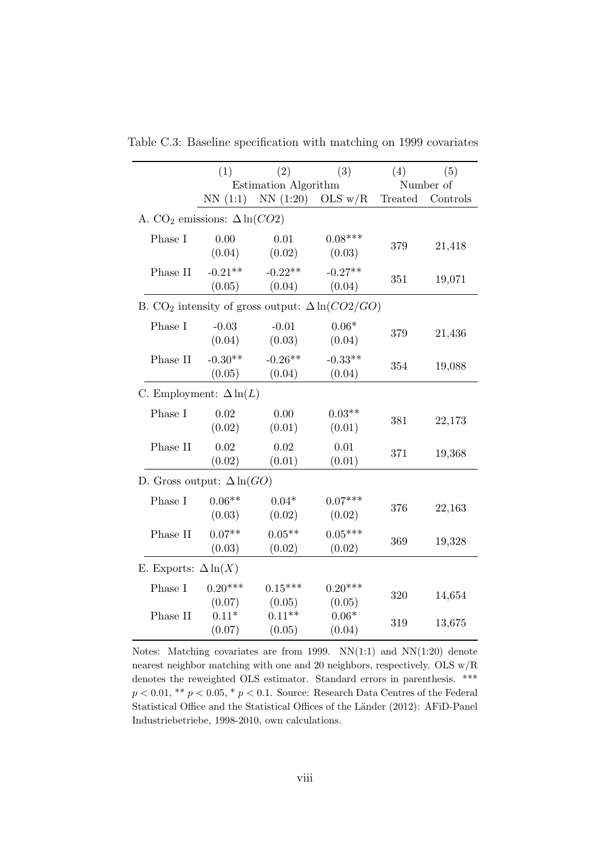|                                                 | (1)                  | (2)                                                                | (3)                 | (4)     | (5)       |  |  |
|-------------------------------------------------|----------------------|--------------------------------------------------------------------|---------------------|---------|-----------|--|--|
|                                                 | Estimation Algorithm |                                                                    |                     |         | Number of |  |  |
|                                                 |                      | NN $(1:1)$ NN $(1:20)$ OLS w/R                                     |                     | Treated | Controls  |  |  |
| A. CO <sub>2</sub> emissions: $\Delta \ln(CO2)$ |                      |                                                                    |                     |         |           |  |  |
| Phase I                                         | 0.00<br>(0.04)       | 0.01<br>(0.02)                                                     | $0.08***$<br>(0.03) | 379     | 21,418    |  |  |
| Phase II                                        | $-0.21**$<br>(0.05)  | $-0.22**$<br>(0.04)                                                | $-0.27**$<br>(0.04) | 351     | 19,071    |  |  |
|                                                 |                      | B. CO <sub>2</sub> intensity of gross output: $\Delta \ln(CO2/GO)$ |                     |         |           |  |  |
| Phase I                                         | $-0.03$<br>(0.04)    | $-0.01$<br>(0.03)                                                  | $0.06*$<br>(0.04)   | 379     | 21,436    |  |  |
| Phase II                                        | $-0.30**$<br>(0.05)  | $-0.26**$<br>(0.04)                                                | $-0.33**$<br>(0.04) | 354     | 19,088    |  |  |
| C. Employment: $\Delta \ln(L)$                  |                      |                                                                    |                     |         |           |  |  |
| Phase I                                         | 0.02<br>(0.02)       | 0.00<br>(0.01)                                                     | $0.03**$<br>(0.01)  | 381     | 22,173    |  |  |
| Phase II                                        | 0.02<br>(0.02)       | 0.02<br>(0.01)                                                     | 0.01<br>(0.01)      | 371     | 19,368    |  |  |
| D. Gross output: $\Delta \ln(GO)$               |                      |                                                                    |                     |         |           |  |  |
| Phase I                                         | $0.06**$<br>(0.03)   | $0.04*$<br>(0.02)                                                  | $0.07***$<br>(0.02) | 376     | 22,163    |  |  |
| Phase II                                        | $0.07**$<br>(0.03)   | $0.05**$<br>(0.02)                                                 | $0.05***$<br>(0.02) | 369     | 19,328    |  |  |
| E. Exports: $\Delta \ln(X)$                     |                      |                                                                    |                     |         |           |  |  |
| Phase I                                         | $0.20***$<br>(0.07)  | $0.15***$<br>(0.05)                                                | $0.20***$<br>(0.05) | 320     | 14,654    |  |  |
| Phase II                                        | $0.11*$<br>(0.07)    | $0.11**$<br>(0.05)                                                 | $0.06*$<br>(0.04)   | 319     | 13,675    |  |  |

<span id="page-46-0"></span>Table C.3: Baseline specification with matching on 1999 covariates

Notes: Matching covariates are from 1999.  $NN(1:1)$  and  $NN(1:20)$  denote nearest neighbor matching with one and 20 neighbors, respectively. OLS w/R denotes the reweighted OLS estimator. Standard errors in parenthesis. \*\*\*  $p < 0.01$ , \*\*  $p < 0.05$ , \*  $p < 0.1$ . Source: Research Data Centres of the Federal Statistical Office and the Statistical Offices of the Länder (2012): AFiD-Panel Industriebetriebe, 1998-2010, own calculations.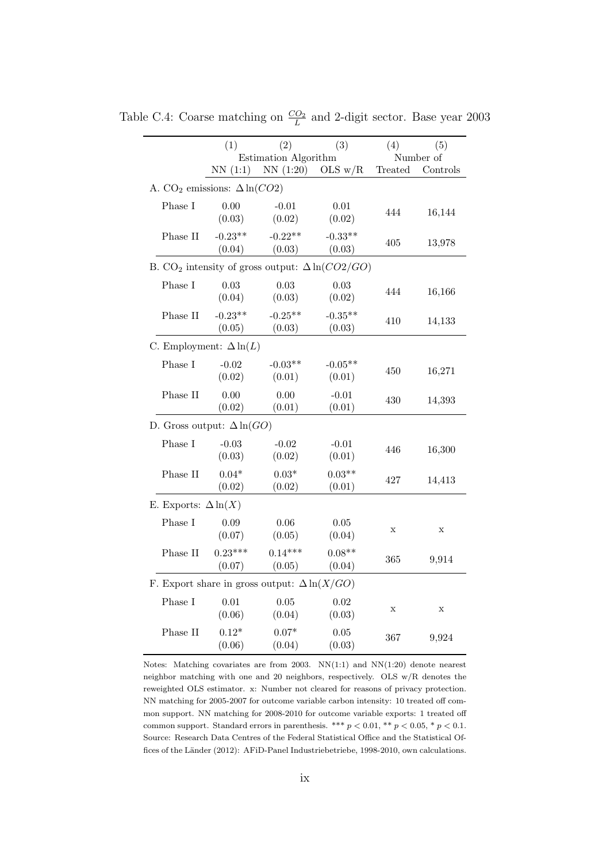|                                                     | (1)                 | (2)<br>Estimation Algorithm | (3)                                                                | (4)         | (5)<br>Number of |  |  |
|-----------------------------------------------------|---------------------|-----------------------------|--------------------------------------------------------------------|-------------|------------------|--|--|
|                                                     | NN(1:1)             | NN(1:20)                    | OLS $w/R$                                                          | Treated     | Controls         |  |  |
| A. CO <sub>2</sub> emissions: $\Delta \ln(CO2)$     |                     |                             |                                                                    |             |                  |  |  |
| Phase I                                             | 0.00<br>(0.03)      | $-0.01$<br>(0.02)           | $0.01\,$<br>(0.02)                                                 | 444         | 16,144           |  |  |
| Phase II                                            | $-0.23**$<br>(0.04) | $-0.22**$<br>(0.03)         | $-0.33**$<br>(0.03)                                                | 405         | 13,978           |  |  |
|                                                     |                     |                             | B. CO <sub>2</sub> intensity of gross output: $\Delta \ln(CO2/GO)$ |             |                  |  |  |
| Phase I                                             | 0.03<br>(0.04)      | 0.03<br>(0.03)              | 0.03<br>(0.02)                                                     | 444         | 16,166           |  |  |
| Phase II                                            | $-0.23**$<br>(0.05) | $-0.25**$<br>(0.03)         | $-0.35**$<br>(0.03)                                                | 410         | 14,133           |  |  |
| C. Employment: $\Delta \ln(L)$                      |                     |                             |                                                                    |             |                  |  |  |
| Phase I                                             | $-0.02$<br>(0.02)   | $-0.03**$<br>(0.01)         | $-0.05**$<br>(0.01)                                                | 450         | 16,271           |  |  |
| Phase II                                            | 0.00<br>(0.02)      | 0.00<br>(0.01)              | $-0.01$<br>(0.01)                                                  | 430         | 14,393           |  |  |
| D. Gross output: $\Delta \ln(GO)$                   |                     |                             |                                                                    |             |                  |  |  |
| Phase I                                             | $-0.03$<br>(0.03)   | $-0.02$<br>(0.02)           | $-0.01$<br>(0.01)                                                  | 446         | 16,300           |  |  |
| Phase II                                            | $0.04*$<br>(0.02)   | $0.03*$<br>(0.02)           | $0.03**$<br>(0.01)                                                 | 427         | 14,413           |  |  |
| E. Exports: $\Delta \ln(X)$                         |                     |                             |                                                                    |             |                  |  |  |
| Phase I                                             | 0.09<br>(0.07)      | 0.06<br>(0.05)              | $0.05\,$<br>(0.04)                                                 | $\mathbf x$ | $\mathbf X$      |  |  |
| Phase II                                            | $0.23***$<br>(0.07) | $0.14***$<br>(0.05)         | $0.08**$<br>(0.04)                                                 | 365         | 9,914            |  |  |
| F. Export share in gross output: $\Delta \ln(X/GO)$ |                     |                             |                                                                    |             |                  |  |  |
| Phase I                                             | 0.01<br>(0.06)      | 0.05<br>(0.04)              | 0.02<br>(0.03)                                                     | $\mathbf X$ | X                |  |  |
| Phase II                                            | $0.12*$<br>(0.06)   | $0.07*$<br>(0.04)           | $0.05\,$<br>(0.03)                                                 | 367         | 9,924            |  |  |

<span id="page-47-0"></span>Table C.4: Coarse matching on  $\frac{CO_2}{L}$  and 2-digit sector. Base year 2003

Notes: Matching covariates are from 2003. NN(1:1) and NN(1:20) denote nearest neighbor matching with one and 20 neighbors, respectively. OLS w/R denotes the reweighted OLS estimator. x: Number not cleared for reasons of privacy protection. NN matching for 2005-2007 for outcome variable carbon intensity: 10 treated off common support. NN matching for 2008-2010 for outcome variable exports: 1 treated off common support. Standard errors in parenthesis. \*\*\*  $p < 0.01$ , \*\*  $p < 0.05$ , \*  $p < 0.1$ . Source: Research Data Centres of the Federal Statistical Office and the Statistical Offices of the Länder (2012): AFiD-Panel Industriebetriebe, 1998-2010, own calculations.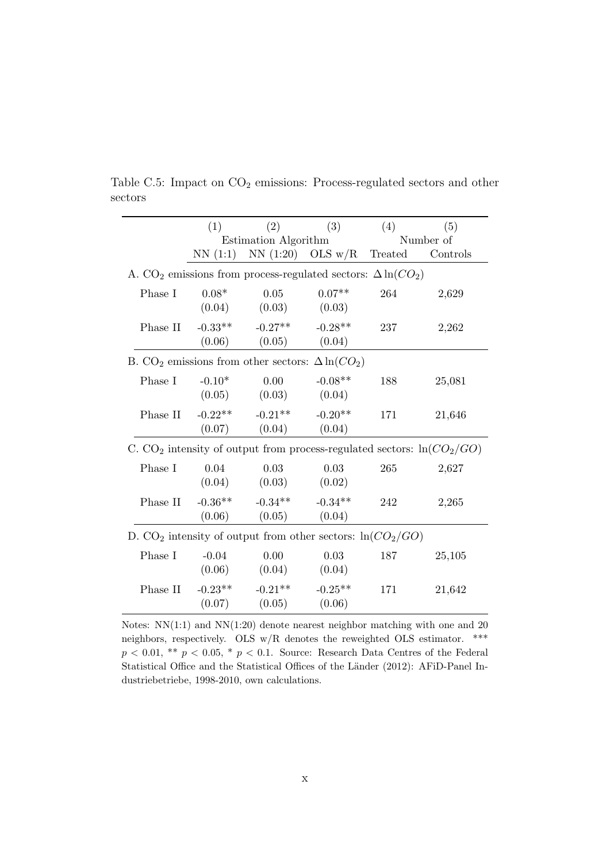|                                                                            | (1)                                                                             | (2)                                                                 | (3)                 | (4)     | (5)       |  |  |  |
|----------------------------------------------------------------------------|---------------------------------------------------------------------------------|---------------------------------------------------------------------|---------------------|---------|-----------|--|--|--|
|                                                                            |                                                                                 | Estimation Algorithm                                                |                     |         | Number of |  |  |  |
|                                                                            | NN(1:1)                                                                         |                                                                     | $NN(1:20)$ OLS w/R  | Treated | Controls  |  |  |  |
|                                                                            | A. CO <sub>2</sub> emissions from process-regulated sectors: $\Delta \ln(CO_2)$ |                                                                     |                     |         |           |  |  |  |
| Phase I                                                                    | $0.08*$<br>(0.04)                                                               | 0.05<br>(0.03)                                                      | $0.07**$<br>(0.03)  | 264     | 2,629     |  |  |  |
| Phase II                                                                   | $-0.33**$<br>(0.06)                                                             | $-0.27**$<br>(0.05)                                                 | $-0.28**$<br>(0.04) | 237     | 2,262     |  |  |  |
|                                                                            |                                                                                 | B. CO <sub>2</sub> emissions from other sectors: $\Delta \ln(CO_2)$ |                     |         |           |  |  |  |
| Phase I                                                                    | $-0.10*$<br>(0.05)                                                              | 0.00<br>(0.03)                                                      | $-0.08**$<br>(0.04) | 188     | 25,081    |  |  |  |
| Phase II                                                                   | $-0.22$ **<br>(0.07)                                                            | $-0.21**$<br>(0.04)                                                 | $-0.20**$<br>(0.04) | 171     | 21,646    |  |  |  |
| C. $CO2$ intensity of output from process-regulated sectors: $\ln(CO2/GO)$ |                                                                                 |                                                                     |                     |         |           |  |  |  |
| Phase I                                                                    | 0.04<br>(0.04)                                                                  | 0.03<br>(0.03)                                                      | 0.03<br>(0.02)      | 265     | 2,627     |  |  |  |
| Phase II                                                                   | $-0.36**$                                                                       | $-0.34**$<br>$(0.06)$ $(0.05)$                                      | $-0.34**$<br>(0.04) | 242     | 2,265     |  |  |  |
| D. $CO_2$ intensity of output from other sectors: $\ln(CO_2/GO)$           |                                                                                 |                                                                     |                     |         |           |  |  |  |
| Phase I                                                                    | $-0.04$<br>(0.06)                                                               | 0.00<br>(0.04)                                                      | 0.03<br>(0.04)      | 187     | 25,105    |  |  |  |
| Phase II $-0.23**$                                                         |                                                                                 | $-0.21**$<br>$(0.07)$ $(0.05)$                                      | $-0.25**$<br>(0.06) | 171     | 21,642    |  |  |  |

<span id="page-48-0"></span>Table C.5: Impact on  $CO<sub>2</sub>$  emissions: Process-regulated sectors and other sectors

Notes: NN(1:1) and NN(1:20) denote nearest neighbor matching with one and 20 neighbors, respectively. OLS w/R denotes the reweighted OLS estimator. \*\*\*  $p < 0.01,$  \*\*  $p < 0.05,$  \*  $p < 0.1.$  Source: Research Data Centres of the Federal Statistical Office and the Statistical Offices of the Länder (2012): AFiD-Panel Industriebetriebe, 1998-2010, own calculations.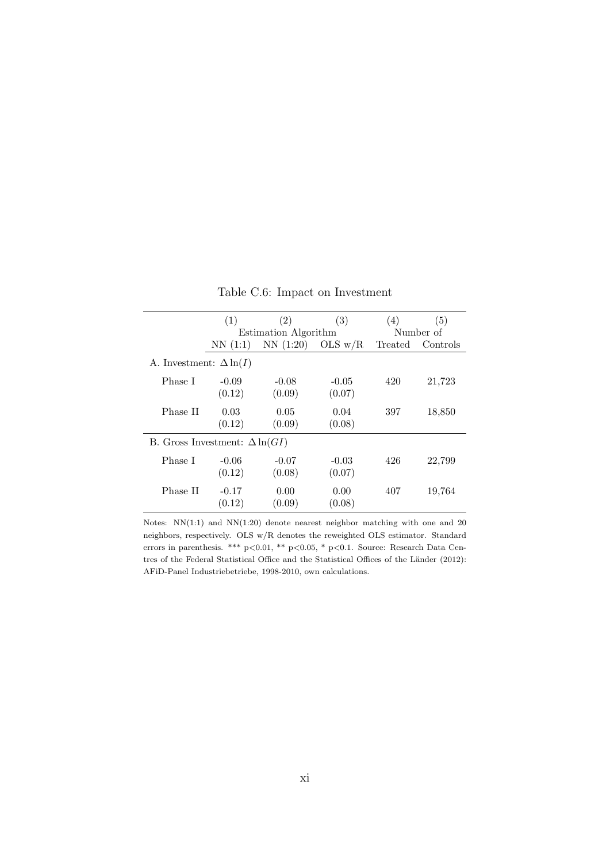<span id="page-49-0"></span>

|                                       | (1)                  | (2)      | (3)       | (4)       | (5)      |
|---------------------------------------|----------------------|----------|-----------|-----------|----------|
|                                       | Estimation Algorithm |          |           | Number of |          |
|                                       | NN(1:1)              | NN(1:20) | OLS $w/R$ | Treated   | Controls |
| A. Investment: $\Delta \ln(I)$        |                      |          |           |           |          |
| Phase I                               | $-0.09$              | $-0.08$  | $-0.05$   | 420       | 21,723   |
|                                       | (0.12)               | (0.09)   | (0.07)    |           |          |
| Phase II                              | 0.03                 | 0.05     | 0.04      | 397       | 18,850   |
|                                       | (0.12)               | (0.09)   | (0.08)    |           |          |
| B. Gross Investment: $\Delta \ln(GI)$ |                      |          |           |           |          |
| Phase I                               | $-0.06$              | $-0.07$  | $-0.03$   | 426       | 22,799   |
|                                       | (0.12)               | (0.08)   | (0.07)    |           |          |
| Phase II                              | $-0.17$              | 0.00     | 0.00      | 407       | 19,764   |
|                                       | (0.12)               | (0.09)   | (0.08)    |           |          |

Table C.6: Impact on Investment

Notes: NN(1:1) and NN(1:20) denote nearest neighbor matching with one and 20 neighbors, respectively. OLS w/R denotes the reweighted OLS estimator. Standard errors in parenthesis. \*\*\* p<0.01, \*\* p<0.05, \* p<0.1. Source: Research Data Centres of the Federal Statistical Office and the Statistical Offices of the Länder (2012): AFiD-Panel Industriebetriebe, 1998-2010, own calculations.